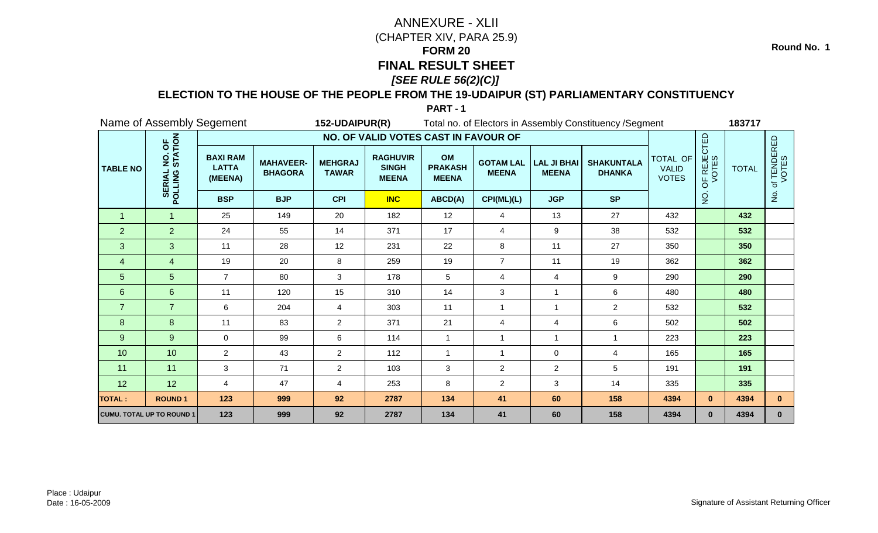### **ELECTION TO THE HOUSE OF THE PEOPLE FROM THE 19-UDAIPUR (ST) PARLIAMENTARY CONSTITUENCY**

**PART - 1**

|                 | Name of Assembly Segement                     |                                            |                                    | 152-UDAIPUR(R)                 |                                                 |                                      |                                  |                                    | Total no. of Electors in Assembly Constituency / Segment |                                          |                      | 183717       |                      |
|-----------------|-----------------------------------------------|--------------------------------------------|------------------------------------|--------------------------------|-------------------------------------------------|--------------------------------------|----------------------------------|------------------------------------|----------------------------------------------------------|------------------------------------------|----------------------|--------------|----------------------|
|                 |                                               |                                            |                                    |                                | NO. OF VALID VOTES CAST IN FAVOUR OF            |                                      |                                  |                                    |                                                          |                                          |                      |              |                      |
| <b>TABLE NO</b> | NO. OF<br>STATION<br><b>SERIAL</b><br>POLLING | <b>BAXI RAM</b><br><b>LATTA</b><br>(MEENA) | <b>MAHAVEER-</b><br><b>BHAGORA</b> | <b>MEHGRAJ</b><br><b>TAWAR</b> | <b>RAGHUVIR</b><br><b>SINGH</b><br><b>MEENA</b> | OM<br><b>PRAKASH</b><br><b>MEENA</b> | <b>GOTAM LAL</b><br><b>MEENA</b> | <b>LAL JI BHAI</b><br><b>MEENA</b> | <b>SHAKUNTALA</b><br><b>DHANKA</b>                       | TOTAL OF<br><b>VALID</b><br><b>VOTES</b> | OF REJECTED<br>VOTES | <b>TOTAL</b> | of TENDERED<br>VOTES |
|                 |                                               | <b>BSP</b>                                 | <b>BJP</b>                         | <b>CPI</b>                     | <b>INC</b>                                      | ABCD(A)                              | CPI(ML)(L)                       | <b>JGP</b>                         | <b>SP</b>                                                |                                          | $\frac{0}{2}$        |              | $\overline{2}$       |
| $\overline{1}$  | $\mathbf{1}$                                  | 25                                         | 149                                | 20                             | 182                                             | 12                                   | 4                                | 13                                 | 27                                                       | 432                                      |                      | 432          |                      |
| $\overline{2}$  | $\overline{2}$                                | 24                                         | 55                                 | 14                             | 371                                             | 17                                   | 4                                | $9\,$                              | 38                                                       | 532                                      |                      | 532          |                      |
| 3               | 3                                             | 11                                         | 28                                 | 12                             | 231                                             | 22                                   | 8                                | 11                                 | 27                                                       | 350                                      |                      | 350          |                      |
| $\overline{4}$  | 4                                             | 19                                         | 20                                 | 8                              | 259                                             | 19                                   | $\overline{7}$                   | 11                                 | 19                                                       | 362                                      |                      | 362          |                      |
| 5               | 5                                             | $\overline{7}$                             | 80                                 | 3                              | 178                                             | 5                                    | 4                                | 4                                  | 9                                                        | 290                                      |                      | 290          |                      |
| $6\phantom{1}$  | 6                                             | 11                                         | 120                                | 15                             | 310                                             | 14                                   | 3                                | $\overline{1}$                     | 6                                                        | 480                                      |                      | 480          |                      |
| $\overline{7}$  | $\overline{7}$                                | 6                                          | 204                                | 4                              | 303                                             | 11                                   | $\mathbf{1}$                     | $\overline{1}$                     | $\overline{2}$                                           | 532                                      |                      | 532          |                      |
| 8               | 8                                             | 11                                         | 83                                 | $\overline{2}$                 | 371                                             | 21                                   | 4                                | 4                                  | 6                                                        | 502                                      |                      | 502          |                      |
| 9               | 9                                             | $\mathbf 0$                                | 99                                 | 6                              | 114                                             | $\overline{1}$                       | $\mathbf{1}$                     | $\mathbf{1}$                       | $\overline{1}$                                           | 223                                      |                      | 223          |                      |
| 10              | 10                                            | $\overline{2}$                             | 43                                 | $\overline{2}$                 | 112                                             | $\overline{1}$                       | $\mathbf{1}$                     | $\mathbf 0$                        | $\overline{4}$                                           | 165                                      |                      | 165          |                      |
| 11              | 11                                            | 3                                          | 71                                 | $\overline{2}$                 | 103                                             | $\mathbf{3}$                         | $\overline{c}$                   | $\overline{a}$                     | $5\phantom{.0}$                                          | 191                                      |                      | 191          |                      |
| 12              | 12                                            | $\overline{4}$                             | 47                                 | 4                              | 253                                             | 8                                    | $\overline{2}$                   | 3                                  | 14                                                       | 335                                      |                      | 335          |                      |
| <b>TOTAL:</b>   | <b>ROUND1</b>                                 | 123                                        | 999                                | 92                             | 2787                                            | 134                                  | 41                               | 60                                 | 158                                                      | 4394                                     | $\mathbf{0}$         | 4394         | $\mathbf{0}$         |
|                 | <b>CUMU. TOTAL UP TO ROUND 1</b>              | 123                                        | 999                                | 92                             | 2787                                            | 134                                  | 41                               | 60                                 | 158                                                      | 4394                                     | $\mathbf{0}$         | 4394         | $\mathbf{0}$         |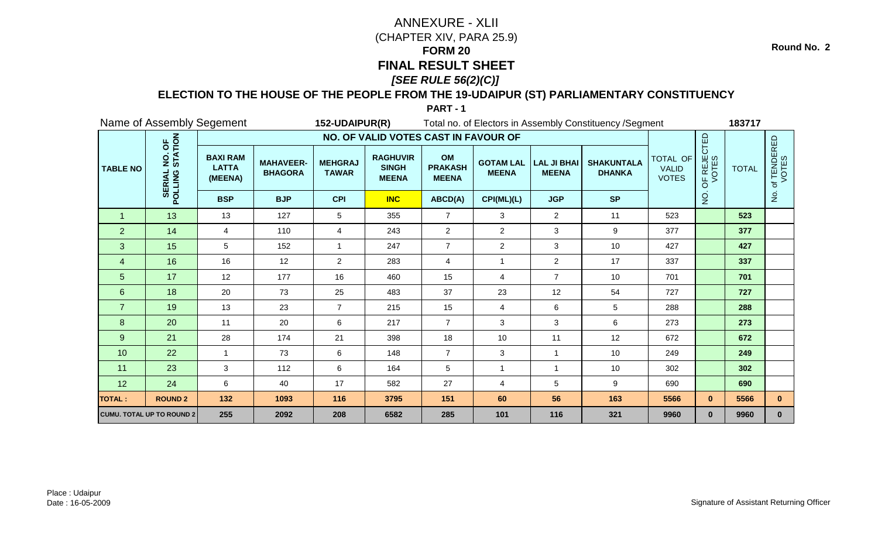### **ELECTION TO THE HOUSE OF THE PEOPLE FROM THE 19-UDAIPUR (ST) PARLIAMENTARY CONSTITUENCY**

|                 |                                               | Name of Assembly Segement                  |                                    | 152-UDAIPUR(R)                 |                                                 |                                      |                                  |                                    | Total no. of Electors in Assembly Constituency / Segment |                                          |                                        | 183717       |                      |
|-----------------|-----------------------------------------------|--------------------------------------------|------------------------------------|--------------------------------|-------------------------------------------------|--------------------------------------|----------------------------------|------------------------------------|----------------------------------------------------------|------------------------------------------|----------------------------------------|--------------|----------------------|
|                 |                                               |                                            |                                    |                                | NO. OF VALID VOTES CAST IN FAVOUR OF            |                                      |                                  |                                    |                                                          |                                          |                                        |              |                      |
| <b>TABLE NO</b> | NO. OF<br>STATION<br><b>SERIAL</b><br>POLLING | <b>BAXI RAM</b><br><b>LATTA</b><br>(MEENA) | <b>MAHAVEER-</b><br><b>BHAGORA</b> | <b>MEHGRAJ</b><br><b>TAWAR</b> | <b>RAGHUVIR</b><br><b>SINGH</b><br><b>MEENA</b> | OM<br><b>PRAKASH</b><br><b>MEENA</b> | <b>GOTAM LAL</b><br><b>MEENA</b> | <b>LAL JI BHAI</b><br><b>MEENA</b> | <b>SHAKUNTALA</b><br><b>DHANKA</b>                       | TOTAL OF<br><b>VALID</b><br><b>VOTES</b> | OF REJECTED<br>VOTES                   | <b>TOTAL</b> | of TENDERED<br>VOTES |
|                 |                                               | <b>BSP</b>                                 | <b>BJP</b>                         | <b>CPI</b>                     | <b>INC</b>                                      | ABCD(A)                              | CPI(ML)(L)                       | <b>JGP</b>                         | <b>SP</b>                                                |                                          | $\frac{\dot {\mathsf{Q}}}{\mathsf{Z}}$ |              | $\frac{1}{2}$        |
| $\mathbf 1$     | 13                                            | 13                                         | 127                                | 5                              | 355                                             | $\overline{7}$                       | 3                                | $\overline{2}$                     | 11                                                       | 523                                      |                                        | 523          |                      |
| $\overline{2}$  | 14                                            | 4                                          | 110                                | 4                              | 243                                             | $\overline{2}$                       | $\overline{2}$                   | 3                                  | 9                                                        | 377                                      |                                        | 377          |                      |
| 3               | 15                                            | 5                                          | 152                                | 1                              | 247                                             | $\overline{7}$                       | $\overline{2}$                   | 3                                  | 10                                                       | 427                                      |                                        | 427          |                      |
| 4               | 16                                            | 16                                         | 12                                 | $\overline{2}$                 | 283                                             | $\overline{4}$                       | 1                                | $\overline{a}$                     | 17                                                       | 337                                      |                                        | 337          |                      |
| 5               | 17                                            | 12                                         | 177                                | 16                             | 460                                             | 15                                   | 4                                | $\overline{7}$                     | 10                                                       | 701                                      |                                        | 701          |                      |
| $6\phantom{1}$  | 18                                            | 20                                         | 73                                 | 25                             | 483                                             | 37                                   | 23                               | 12                                 | 54                                                       | 727                                      |                                        | 727          |                      |
| $\overline{7}$  | 19                                            | 13                                         | 23                                 | $\overline{7}$                 | 215                                             | 15                                   | 4                                | 6                                  | 5                                                        | 288                                      |                                        | 288          |                      |
| 8               | 20                                            | 11                                         | 20                                 | 6                              | 217                                             | $\overline{7}$                       | 3                                | 3                                  | 6                                                        | 273                                      |                                        | 273          |                      |
| 9               | 21                                            | 28                                         | 174                                | 21                             | 398                                             | 18                                   | 10                               | 11                                 | 12                                                       | 672                                      |                                        | 672          |                      |
| 10              | 22                                            | $\mathbf{1}$                               | 73                                 | 6                              | 148                                             | $\overline{7}$                       | 3                                | $\mathbf{1}$                       | 10                                                       | 249                                      |                                        | 249          |                      |
| 11              | 23                                            | 3                                          | 112                                | 6                              | 164                                             | $5\phantom{.0}$                      | 1                                | $\mathbf{1}$                       | 10                                                       | 302                                      |                                        | 302          |                      |
| 12              | 24                                            | 6                                          | 40                                 | 17                             | 582                                             | 27                                   | 4                                | 5                                  | 9                                                        | 690                                      |                                        | 690          |                      |
| <b>TOTAL:</b>   | <b>ROUND 2</b>                                | 132                                        | 1093                               | 116                            | 3795                                            | 151                                  | 60                               | 56                                 | 163                                                      | 5566                                     | $\mathbf{0}$                           | 5566         | $\mathbf{0}$         |
|                 | <b>CUMU. TOTAL UP TO ROUND 2</b>              | 255                                        | 2092                               | 208                            | 6582                                            | 285                                  | 101                              | 116                                | 321                                                      | 9960                                     | $\mathbf{0}$                           | 9960         | $\mathbf{0}$         |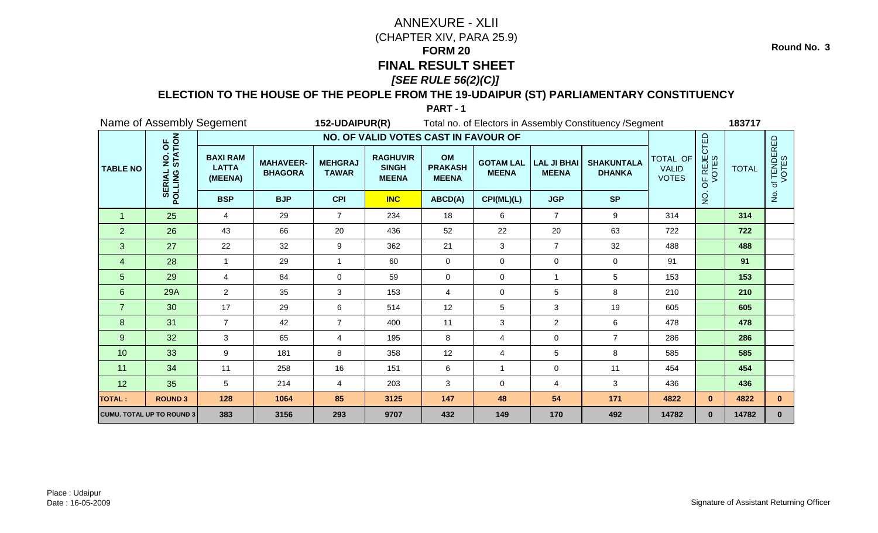### **ELECTION TO THE HOUSE OF THE PEOPLE FROM THE 19-UDAIPUR (ST) PARLIAMENTARY CONSTITUENCY**

**PART - 1**

|                 |                                               | Name of Assembly Segement                  |                                    | 152-UDAIPUR(R)                 |                                                 |                                      |                                  |                                    | Total no. of Electors in Assembly Constituency / Segment |                                          |                      | 183717       |                      |
|-----------------|-----------------------------------------------|--------------------------------------------|------------------------------------|--------------------------------|-------------------------------------------------|--------------------------------------|----------------------------------|------------------------------------|----------------------------------------------------------|------------------------------------------|----------------------|--------------|----------------------|
|                 |                                               |                                            |                                    |                                | NO. OF VALID VOTES CAST IN FAVOUR OF            |                                      |                                  |                                    |                                                          |                                          |                      |              |                      |
| <b>TABLE NO</b> | NO. OF<br>STATION<br><b>SERIAL</b><br>POLLING | <b>BAXI RAM</b><br><b>LATTA</b><br>(MEENA) | <b>MAHAVEER-</b><br><b>BHAGORA</b> | <b>MEHGRAJ</b><br><b>TAWAR</b> | <b>RAGHUVIR</b><br><b>SINGH</b><br><b>MEENA</b> | OM<br><b>PRAKASH</b><br><b>MEENA</b> | <b>GOTAM LAL</b><br><b>MEENA</b> | <b>LAL JI BHAI</b><br><b>MEENA</b> | <b>SHAKUNTALA</b><br><b>DHANKA</b>                       | TOTAL OF<br><b>VALID</b><br><b>VOTES</b> | OF REJECTED<br>VOTES | <b>TOTAL</b> | of TENDERED<br>VOTES |
|                 |                                               | <b>BSP</b>                                 | <b>BJP</b>                         | <b>CPI</b>                     | <b>INC</b>                                      | ABCD(A)                              | CPI(ML)(L)                       | <b>JGP</b>                         | <b>SP</b>                                                |                                          | $\frac{1}{2}$        |              | $\frac{1}{2}$        |
| $\overline{1}$  | 25                                            | 4                                          | 29                                 | $\overline{7}$                 | 234                                             | 18                                   | 6                                | $\overline{7}$                     | 9                                                        | 314                                      |                      | 314          |                      |
| $\overline{2}$  | 26                                            | 43                                         | 66                                 | 20                             | 436                                             | 52                                   | 22                               | 20                                 | 63                                                       | 722                                      |                      | 722          |                      |
| 3               | 27                                            | 22                                         | 32                                 | 9                              | 362                                             | 21                                   | 3                                | $\overline{7}$                     | 32                                                       | 488                                      |                      | 488          |                      |
| 4               | 28                                            |                                            | 29                                 | 1                              | 60                                              | $\mathbf 0$                          | 0                                | $\mathbf 0$                        | 0                                                        | 91                                       |                      | 91           |                      |
| 5               | 29                                            | $\overline{4}$                             | 84                                 | $\overline{0}$                 | 59                                              | $\mathbf 0$                          | 0                                | $\overline{1}$                     | 5                                                        | 153                                      |                      | 153          |                      |
| $6\phantom{1}$  | <b>29A</b>                                    | $\overline{2}$                             | 35                                 | 3 <sup>1</sup>                 | 153                                             | $\overline{4}$                       | 0                                | 5                                  | 8                                                        | 210                                      |                      | 210          |                      |
| $\overline{7}$  | 30                                            | 17                                         | 29                                 | 6                              | 514                                             | 12                                   | 5                                | 3                                  | 19                                                       | 605                                      |                      | 605          |                      |
| 8               | 31                                            | $\overline{7}$                             | 42                                 | $\overline{7}$                 | 400                                             | 11                                   | 3                                | $\overline{a}$                     | 6                                                        | 478                                      |                      | 478          |                      |
| 9               | 32                                            | 3                                          | 65                                 | 4                              | 195                                             | 8                                    | 4                                | $\mathbf 0$                        | $\overline{7}$                                           | 286                                      |                      | 286          |                      |
| 10              | 33                                            | 9                                          | 181                                | 8                              | 358                                             | 12                                   | 4                                | 5                                  | 8                                                        | 585                                      |                      | 585          |                      |
| 11              | 34                                            | 11                                         | 258                                | 16                             | 151                                             | 6                                    | $\mathbf{1}$                     | 0                                  | 11                                                       | 454                                      |                      | 454          |                      |
| 12              | 35                                            | 5                                          | 214                                | 4                              | 203                                             | 3                                    | 0                                | 4                                  | 3                                                        | 436                                      |                      | 436          |                      |
| <b>TOTAL:</b>   | <b>ROUND 3</b>                                | 128                                        | 1064                               | 85                             | 3125                                            | 147                                  | 48                               | 54                                 | 171                                                      | 4822                                     | $\mathbf{0}$         | 4822         | $\mathbf{0}$         |
|                 | <b>CUMU. TOTAL UP TO ROUND 3</b>              | 383                                        | 3156                               | 293                            | 9707                                            | 432                                  | 149                              | 170                                | 492                                                      | 14782                                    | $\mathbf{0}$         | 14782        | $\mathbf{0}$         |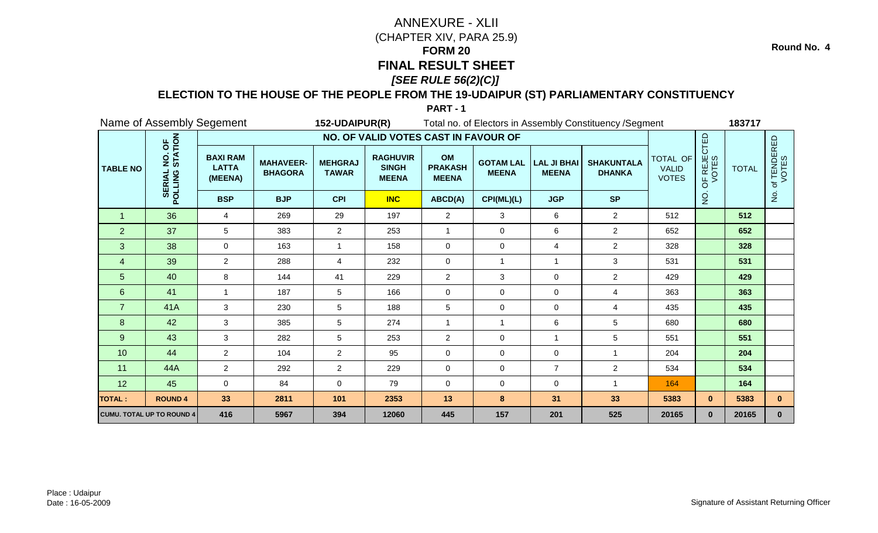### **ELECTION TO THE HOUSE OF THE PEOPLE FROM THE 19-UDAIPUR (ST) PARLIAMENTARY CONSTITUENCY**

**PART - 1**

|                  |                                               | Name of Assembly Segement                  |                                    | 152-UDAIPUR(R)                 |                                                 |                                      |                                  |                                    | Total no. of Electors in Assembly Constituency / Segment |                                          |                      | 183717       |                                 |
|------------------|-----------------------------------------------|--------------------------------------------|------------------------------------|--------------------------------|-------------------------------------------------|--------------------------------------|----------------------------------|------------------------------------|----------------------------------------------------------|------------------------------------------|----------------------|--------------|---------------------------------|
|                  |                                               |                                            |                                    |                                | NO. OF VALID VOTES CAST IN FAVOUR OF            |                                      |                                  |                                    |                                                          |                                          |                      |              |                                 |
| <b>TABLE NO</b>  | NO. OF<br>STATION<br><b>SERIAL</b><br>POLLING | <b>BAXI RAM</b><br><b>LATTA</b><br>(MEENA) | <b>MAHAVEER-</b><br><b>BHAGORA</b> | <b>MEHGRAJ</b><br><b>TAWAR</b> | <b>RAGHUVIR</b><br><b>SINGH</b><br><b>MEENA</b> | OM<br><b>PRAKASH</b><br><b>MEENA</b> | <b>GOTAM LAL</b><br><b>MEENA</b> | <b>LAL JI BHAI</b><br><b>MEENA</b> | <b>SHAKUNTALA</b><br><b>DHANKA</b>                       | TOTAL OF<br><b>VALID</b><br><b>VOTES</b> | OF REJECTED<br>VOTES | <b>TOTAL</b> | of TENDERED<br>VOTES            |
|                  |                                               | <b>BSP</b>                                 | <b>BJP</b>                         | <b>CPI</b>                     | <b>INC</b>                                      | ABCD(A)                              | CPI(ML)(L)                       | <b>JGP</b>                         | <b>SP</b>                                                |                                          | $\frac{8}{2}$        |              | $\frac{\mathsf{O}}{\mathsf{D}}$ |
| $\overline{1}$   | 36                                            | 4                                          | 269                                | 29                             | 197                                             | $\overline{2}$                       | 3                                | 6                                  | $\overline{2}$                                           | 512                                      |                      | 512          |                                 |
| $\overline{2}$   | 37                                            | 5                                          | 383                                | $\overline{2}$                 | 253                                             | $\mathbf{1}$                         | 0                                | 6                                  | $\overline{2}$                                           | 652                                      |                      | 652          |                                 |
| 3                | 38                                            | 0                                          | 163                                |                                | 158                                             | $\mathbf 0$                          | $\mathbf 0$                      | $\overline{4}$                     | $\overline{2}$                                           | 328                                      |                      | 328          |                                 |
| 4                | 39                                            | $\overline{2}$                             | 288                                | 4                              | 232                                             | $\mathbf 0$                          | 1                                | $\overline{1}$                     | 3                                                        | 531                                      |                      | 531          |                                 |
| 5                | 40                                            | 8                                          | 144                                | 41                             | 229                                             | $\overline{2}$                       | 3                                | 0                                  | $\overline{2}$                                           | 429                                      |                      | 429          |                                 |
| 6                | 41                                            | $\overline{1}$                             | 187                                | 5                              | 166                                             | $\mathbf 0$                          | 0                                | $\mathbf 0$                        | 4                                                        | 363                                      |                      | 363          |                                 |
| $\overline{7}$   | 41A                                           | 3                                          | 230                                | 5                              | 188                                             | 5                                    | $\mathbf 0$                      | $\mathbf 0$                        | 4                                                        | 435                                      |                      | 435          |                                 |
| $\boldsymbol{8}$ | 42                                            | 3                                          | 385                                | 5                              | 274                                             | $\overline{1}$                       | $\overline{1}$                   | 6                                  | 5                                                        | 680                                      |                      | 680          |                                 |
| 9                | 43                                            | 3                                          | 282                                | 5                              | 253                                             | $\overline{2}$                       | $\mathbf 0$                      | $\mathbf{1}$                       | 5                                                        | 551                                      |                      | 551          |                                 |
| 10               | 44                                            | $\overline{2}$                             | 104                                | $\overline{2}$                 | 95                                              | $\pmb{0}$                            | 0                                | $\mathbf 0$                        | 1                                                        | 204                                      |                      | 204          |                                 |
| 11               | 44A                                           | $\overline{2}$                             | 292                                | $\overline{2}$                 | 229                                             | $\pmb{0}$                            | 0                                | $\overline{7}$                     | $\overline{2}$                                           | 534                                      |                      | 534          |                                 |
| 12               | 45                                            | $\mathbf 0$                                | 84                                 | 0                              | 79                                              | $\mathbf 0$                          | 0                                | 0                                  | $\overline{1}$                                           | 164                                      |                      | 164          |                                 |
| <b>TOTAL:</b>    | <b>ROUND 4</b>                                | 33                                         | 2811                               | 101                            | 2353                                            | 13                                   | 8                                | 31                                 | 33                                                       | 5383                                     | $\mathbf{0}$         | 5383         | $\mathbf{0}$                    |
|                  | <b>CUMU. TOTAL UP TO ROUND 4</b>              | 416                                        | 5967                               | 394                            | 12060                                           | 445                                  | 157                              | 201                                | 525                                                      | 20165                                    | $\mathbf{0}$         | 20165        | $\mathbf{0}$                    |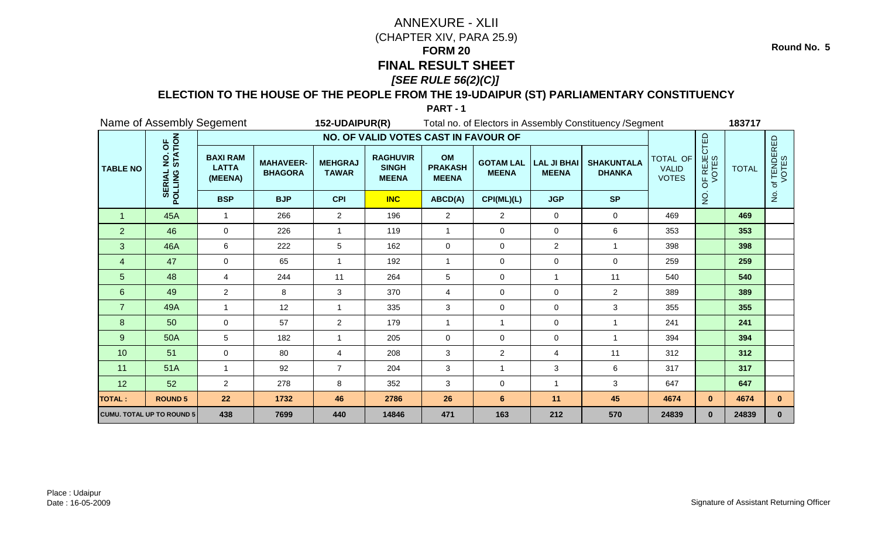### **ELECTION TO THE HOUSE OF THE PEOPLE FROM THE 19-UDAIPUR (ST) PARLIAMENTARY CONSTITUENCY**

|                 |                                               | Name of Assembly Segement                  |                                    | 152-UDAIPUR(R)                 |                                                 |                                      |                                  |                                    | Total no. of Electors in Assembly Constituency / Segment |                                          |                      | 183717       |                                 |
|-----------------|-----------------------------------------------|--------------------------------------------|------------------------------------|--------------------------------|-------------------------------------------------|--------------------------------------|----------------------------------|------------------------------------|----------------------------------------------------------|------------------------------------------|----------------------|--------------|---------------------------------|
|                 |                                               |                                            |                                    |                                | NO. OF VALID VOTES CAST IN FAVOUR OF            |                                      |                                  |                                    |                                                          |                                          |                      |              |                                 |
| <b>TABLE NO</b> | NO. OF<br>STATION<br><b>SERIAL</b><br>POLLING | <b>BAXI RAM</b><br><b>LATTA</b><br>(MEENA) | <b>MAHAVEER-</b><br><b>BHAGORA</b> | <b>MEHGRAJ</b><br><b>TAWAR</b> | <b>RAGHUVIR</b><br><b>SINGH</b><br><b>MEENA</b> | OM<br><b>PRAKASH</b><br><b>MEENA</b> | <b>GOTAM LAL</b><br><b>MEENA</b> | <b>LAL JI BHAI</b><br><b>MEENA</b> | <b>SHAKUNTALA</b><br><b>DHANKA</b>                       | TOTAL OF<br><b>VALID</b><br><b>VOTES</b> | OF REJECTED<br>VOTES | <b>TOTAL</b> | f TENDERED<br>VOTES<br>đ        |
|                 |                                               | <b>BSP</b>                                 | <b>BJP</b>                         | <b>CPI</b>                     | <b>INC</b>                                      | ABCD(A)                              | CPI(ML)(L)                       | <b>JGP</b>                         | <b>SP</b>                                                |                                          | $\frac{1}{2}$        |              | $\frac{\mathsf{O}}{\mathsf{D}}$ |
| $\overline{1}$  | 45A                                           | 1                                          | 266                                | $\overline{2}$                 | 196                                             | $\overline{2}$                       | $\overline{c}$                   | $\mathbf 0$                        | 0                                                        | 469                                      |                      | 469          |                                 |
| 2               | 46                                            | $\mathbf 0$                                | 226                                | $\mathbf{1}$                   | 119                                             | $\overline{1}$                       | 0                                | $\mathbf 0$                        | $6\phantom{.}6$                                          | 353                                      |                      | 353          |                                 |
| 3               | 46A                                           | 6                                          | 222                                | 5                              | 162                                             | $\mathbf 0$                          | 0                                | $\overline{2}$                     | -1                                                       | 398                                      |                      | 398          |                                 |
| 4               | 47                                            | $\mathbf 0$                                | 65                                 | 1                              | 192                                             | -1                                   | 0                                | 0                                  | $\mathbf 0$                                              | 259                                      |                      | 259          |                                 |
| 5               | 48                                            | 4                                          | 244                                | 11                             | 264                                             | $\sqrt{5}$                           | 0                                |                                    | 11                                                       | 540                                      |                      | 540          |                                 |
| $6\phantom{1}$  | 49                                            | $\overline{2}$                             | 8                                  | 3                              | 370                                             | $\overline{4}$                       | 0                                | $\mathbf 0$                        | $\overline{2}$                                           | 389                                      |                      | 389          |                                 |
| $\overline{7}$  | 49A                                           |                                            | 12                                 | 1                              | 335                                             | 3                                    | 0                                | $\mathbf 0$                        | 3                                                        | 355                                      |                      | 355          |                                 |
| 8               | 50                                            | $\mathbf 0$                                | 57                                 | $\overline{c}$                 | 179                                             | $\overline{1}$                       | $\mathbf{1}$                     | 0                                  | -1                                                       | 241                                      |                      | 241          |                                 |
| $9\,$           | 50A                                           | 5                                          | 182                                | $\mathbf{1}$                   | 205                                             | $\mathbf 0$                          | 0                                | $\mathbf 0$                        | $\overline{1}$                                           | 394                                      |                      | 394          |                                 |
| 10              | 51                                            | $\mathbf 0$                                | 80                                 | 4                              | 208                                             | 3                                    | $\overline{c}$                   | 4                                  | 11                                                       | 312                                      |                      | 312          |                                 |
| 11              | 51A                                           |                                            | 92                                 | $\overline{7}$                 | 204                                             | $\mathbf{3}$                         | $\overline{1}$                   | 3                                  | 6                                                        | 317                                      |                      | 317          |                                 |
| 12              | 52                                            | $\overline{2}$                             | 278                                | 8                              | 352                                             | 3                                    | 0                                |                                    | $\mathbf{3}$                                             | 647                                      |                      | 647          |                                 |
| <b>TOTAL:</b>   | <b>ROUND 5</b>                                | 22                                         | 1732                               | 46                             | 2786                                            | 26                                   | $6\phantom{a}$                   | 11                                 | 45                                                       | 4674                                     | $\mathbf{0}$         | 4674         | $\mathbf{0}$                    |
|                 | <b>CUMU. TOTAL UP TO ROUND 5</b>              | 438                                        | 7699                               | 440                            | 14846                                           | 471                                  | 163                              | 212                                | 570                                                      | 24839                                    | $\mathbf{0}$         | 24839        | $\mathbf{0}$                    |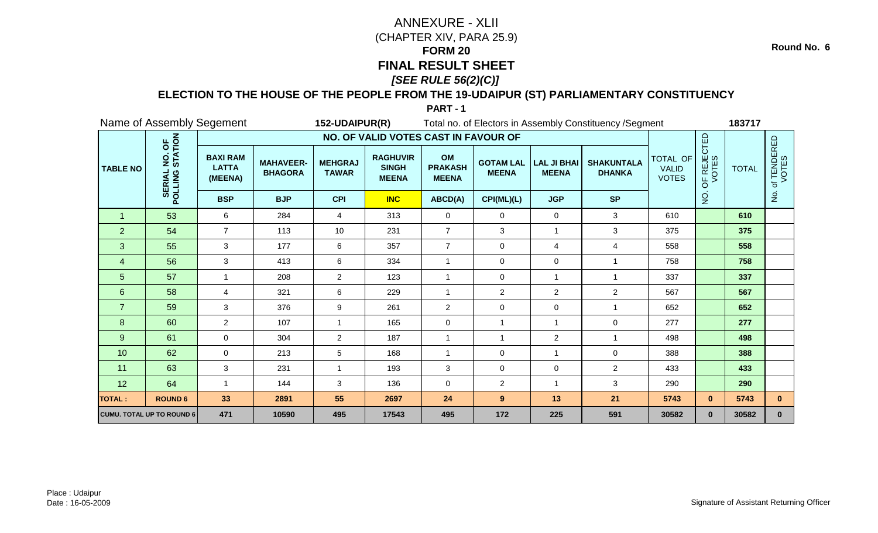### **ELECTION TO THE HOUSE OF THE PEOPLE FROM THE 19-UDAIPUR (ST) PARLIAMENTARY CONSTITUENCY**

|                 |                                               | Name of Assembly Segement                  |                                    | 152-UDAIPUR(R)                 |                                                 |                                      |                                  |                                    | Total no. of Electors in Assembly Constituency / Segment |                                          |                      | 183717       |                                 |
|-----------------|-----------------------------------------------|--------------------------------------------|------------------------------------|--------------------------------|-------------------------------------------------|--------------------------------------|----------------------------------|------------------------------------|----------------------------------------------------------|------------------------------------------|----------------------|--------------|---------------------------------|
|                 |                                               |                                            |                                    |                                | NO. OF VALID VOTES CAST IN FAVOUR OF            |                                      |                                  |                                    |                                                          |                                          |                      |              |                                 |
| <b>TABLE NO</b> | NO. OF<br>STATION<br><b>SERIAL</b><br>POLLING | <b>BAXI RAM</b><br><b>LATTA</b><br>(MEENA) | <b>MAHAVEER-</b><br><b>BHAGORA</b> | <b>MEHGRAJ</b><br><b>TAWAR</b> | <b>RAGHUVIR</b><br><b>SINGH</b><br><b>MEENA</b> | OM<br><b>PRAKASH</b><br><b>MEENA</b> | <b>GOTAM LAL</b><br><b>MEENA</b> | <b>LAL JI BHAI</b><br><b>MEENA</b> | <b>SHAKUNTALA</b><br><b>DHANKA</b>                       | TOTAL OF<br><b>VALID</b><br><b>VOTES</b> | OF REJECTED<br>VOTES | <b>TOTAL</b> | f TENDERED<br>VOTES<br>đ        |
|                 |                                               | <b>BSP</b>                                 | <b>BJP</b>                         | <b>CPI</b>                     | <b>INC</b>                                      | ABCD(A)                              | CPI(ML)(L)                       | <b>JGP</b>                         | <b>SP</b>                                                |                                          | $\frac{1}{2}$        |              | $\frac{\mathsf{O}}{\mathsf{D}}$ |
| $\overline{1}$  | 53                                            | 6                                          | 284                                | 4                              | 313                                             | $\mathbf 0$                          | 0                                | $\mathbf 0$                        | 3                                                        | 610                                      |                      | 610          |                                 |
| 2               | 54                                            | $\overline{7}$                             | 113                                | 10 <sup>°</sup>                | 231                                             | $\overline{7}$                       | 3                                | $\mathbf{1}$                       | $\mathbf{3}$                                             | 375                                      |                      | 375          |                                 |
| 3               | 55                                            | 3                                          | 177                                | 6                              | 357                                             | $\overline{7}$                       | 0                                | 4                                  | 4                                                        | 558                                      |                      | 558          |                                 |
| 4               | 56                                            | 3                                          | 413                                | 6                              | 334                                             | -1                                   | 0                                | $\mathbf 0$                        | -1                                                       | 758                                      |                      | 758          |                                 |
| 5               | 57                                            |                                            | 208                                | $\overline{2}$                 | 123                                             | $\overline{1}$                       | 0                                |                                    | $\overline{\mathbf{1}}$                                  | 337                                      |                      | 337          |                                 |
| $6\phantom{1}$  | 58                                            | $\overline{4}$                             | 321                                | 6                              | 229                                             | $\overline{1}$                       | $\overline{c}$                   | $\overline{2}$                     | $\overline{2}$                                           | 567                                      |                      | 567          |                                 |
| $\overline{7}$  | 59                                            | 3                                          | 376                                | 9                              | 261                                             | $\overline{2}$                       | 0                                | $\mathbf 0$                        | -1                                                       | 652                                      |                      | 652          |                                 |
| 8               | 60                                            | $\overline{2}$                             | 107                                | 1                              | 165                                             | 0                                    | $\mathbf{1}$                     | -1                                 | $\mathbf 0$                                              | 277                                      |                      | 277          |                                 |
| 9               | 61                                            | $\mathbf 0$                                | 304                                | $\overline{2}$                 | 187                                             | $\overline{1}$                       | $\mathbf{1}$                     | $\overline{2}$                     | $\overline{1}$                                           | 498                                      |                      | 498          |                                 |
| 10              | 62                                            | $\mathbf 0$                                | 213                                | 5                              | 168                                             | $\overline{1}$                       | 0                                | -1                                 | $\mathbf 0$                                              | 388                                      |                      | 388          |                                 |
| 11              | 63                                            | 3                                          | 231                                | 1                              | 193                                             | $\mathbf{3}$                         | 0                                | $\mathbf 0$                        | $\overline{2}$                                           | 433                                      |                      | 433          |                                 |
| 12              | 64                                            |                                            | 144                                | 3                              | 136                                             | $\mathbf 0$                          | $\overline{c}$                   |                                    | $\mathbf{3}$                                             | 290                                      |                      | 290          |                                 |
| <b>TOTAL:</b>   | <b>ROUND 6</b>                                | 33                                         | 2891                               | 55                             | 2697                                            | 24                                   | $\overline{9}$                   | 13                                 | 21                                                       | 5743                                     | $\mathbf{0}$         | 5743         | $\mathbf{0}$                    |
|                 | <b>CUMU. TOTAL UP TO ROUND 6</b>              | 471                                        | 10590                              | 495                            | 17543                                           | 495                                  | 172                              | 225                                | 591                                                      | 30582                                    | $\mathbf{0}$         | 30582        | $\mathbf{0}$                    |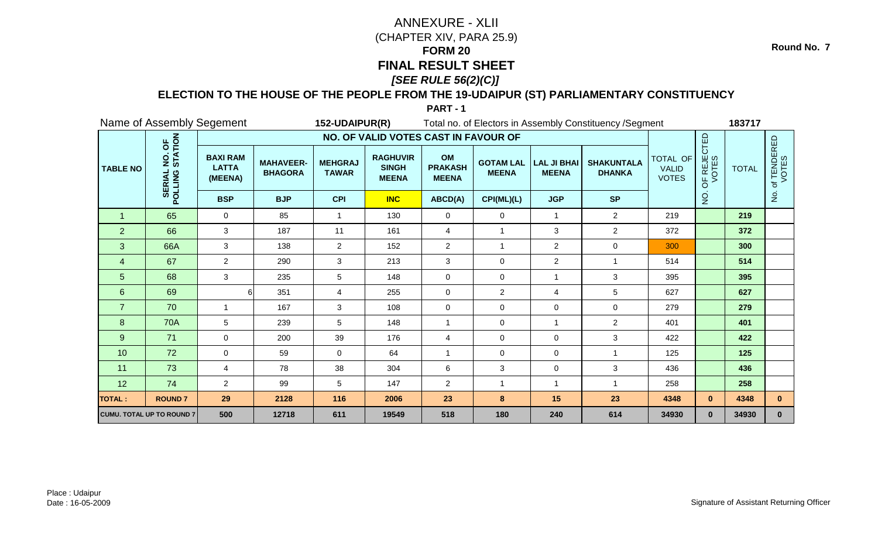### **ELECTION TO THE HOUSE OF THE PEOPLE FROM THE 19-UDAIPUR (ST) PARLIAMENTARY CONSTITUENCY**

**PART - 1**

|                 |                                               | Name of Assembly Segement                  |                                    | 152-UDAIPUR(R)                 |                                                 |                                      |                                  |                                    | Total no. of Electors in Assembly Constituency / Segment |                                          |                                        | 183717       |                          |
|-----------------|-----------------------------------------------|--------------------------------------------|------------------------------------|--------------------------------|-------------------------------------------------|--------------------------------------|----------------------------------|------------------------------------|----------------------------------------------------------|------------------------------------------|----------------------------------------|--------------|--------------------------|
|                 |                                               |                                            |                                    |                                | NO. OF VALID VOTES CAST IN FAVOUR OF            |                                      |                                  |                                    |                                                          |                                          |                                        |              |                          |
| <b>TABLE NO</b> | NO. OF<br>STATION<br><b>SERIAL</b><br>POLLING | <b>BAXI RAM</b><br><b>LATTA</b><br>(MEENA) | <b>MAHAVEER-</b><br><b>BHAGORA</b> | <b>MEHGRAJ</b><br><b>TAWAR</b> | <b>RAGHUVIR</b><br><b>SINGH</b><br><b>MEENA</b> | OM<br><b>PRAKASH</b><br><b>MEENA</b> | <b>GOTAM LAL</b><br><b>MEENA</b> | <b>LAL JI BHAI</b><br><b>MEENA</b> | <b>SHAKUNTALA</b><br><b>DHANKA</b>                       | TOTAL OF<br><b>VALID</b><br><b>VOTES</b> | OF REJECTED<br>VOTES                   | <b>TOTAL</b> | f TENDERED<br>VOTES<br>đ |
|                 |                                               | <b>BSP</b>                                 | <b>BJP</b>                         | <b>CPI</b>                     | <b>INC</b>                                      | ABCD(A)                              | CPI(ML)(L)                       | <b>JGP</b>                         | <b>SP</b>                                                |                                          | $\frac{\dot {\mathsf{Q}}}{\mathsf{Z}}$ |              | $\frac{1}{2}$            |
| $\mathbf 1$     | 65                                            | $\mathbf 0$                                | 85                                 | -1                             | 130                                             | 0                                    | 0                                | $\mathbf{1}$                       | $\overline{2}$                                           | 219                                      |                                        | 219          |                          |
| $\overline{2}$  | 66                                            | 3                                          | 187                                | 11                             | 161                                             | $\overline{4}$                       | $\overline{1}$                   | 3                                  | $\overline{2}$                                           | 372                                      |                                        | 372          |                          |
| 3               | 66A                                           | 3                                          | 138                                | $\overline{2}$                 | 152                                             | $\overline{2}$                       | 1                                | $\overline{2}$                     | $\mathbf 0$                                              | 300                                      |                                        | 300          |                          |
| 4               | 67                                            | $\overline{2}$                             | 290                                | 3                              | 213                                             | 3                                    | $\mathbf 0$                      | $\overline{a}$                     |                                                          | 514                                      |                                        | 514          |                          |
| 5               | 68                                            | 3                                          | 235                                | 5                              | 148                                             | $\pmb{0}$                            | 0                                | -1                                 | 3                                                        | 395                                      |                                        | 395          |                          |
| $6\phantom{1}$  | 69                                            | $6 \mid$                                   | 351                                | $\overline{4}$                 | 255                                             | $\mathbf 0$                          | $\overline{2}$                   | 4                                  | 5                                                        | 627                                      |                                        | 627          |                          |
| $\overline{7}$  | 70                                            | $\mathbf{1}$                               | 167                                | 3                              | 108                                             | $\mathbf 0$                          | $\mathbf 0$                      | $\Omega$                           | $\mathbf 0$                                              | 279                                      |                                        | 279          |                          |
| 8               | <b>70A</b>                                    | 5                                          | 239                                | 5                              | 148                                             | $\overline{1}$                       | $\mathbf 0$                      | $\mathbf{1}$                       | $\overline{2}$                                           | 401                                      |                                        | 401          |                          |
| 9               | 71                                            | 0                                          | 200                                | 39                             | 176                                             | $\overline{4}$                       | 0                                | $\mathbf 0$                        | 3                                                        | 422                                      |                                        | 422          |                          |
| 10              | 72                                            | 0                                          | 59                                 | 0                              | 64                                              | $\overline{1}$                       | 0                                | $\mathbf 0$                        | 1                                                        | 125                                      |                                        | 125          |                          |
| 11              | 73                                            | 4                                          | 78                                 | 38                             | 304                                             | $6\phantom{a}$                       | 3                                | $\pmb{0}$                          | 3                                                        | 436                                      |                                        | 436          |                          |
| 12              | 74                                            | $\overline{2}$                             | 99                                 | 5                              | 147                                             | $\overline{2}$                       | 1                                |                                    |                                                          | 258                                      |                                        | 258          |                          |
| <b>TOTAL:</b>   | <b>ROUND7</b>                                 | 29                                         | 2128                               | 116                            | 2006                                            | 23                                   | 8                                | 15                                 | 23                                                       | 4348                                     | $\mathbf{0}$                           | 4348         | $\mathbf{0}$             |
|                 | CUMU. TOTAL UP TO ROUND 7                     | 500                                        | 12718                              | 611                            | 19549                                           | 518                                  | 180                              | 240                                | 614                                                      | 34930                                    | $\mathbf{0}$                           | 34930        | $\mathbf{0}$             |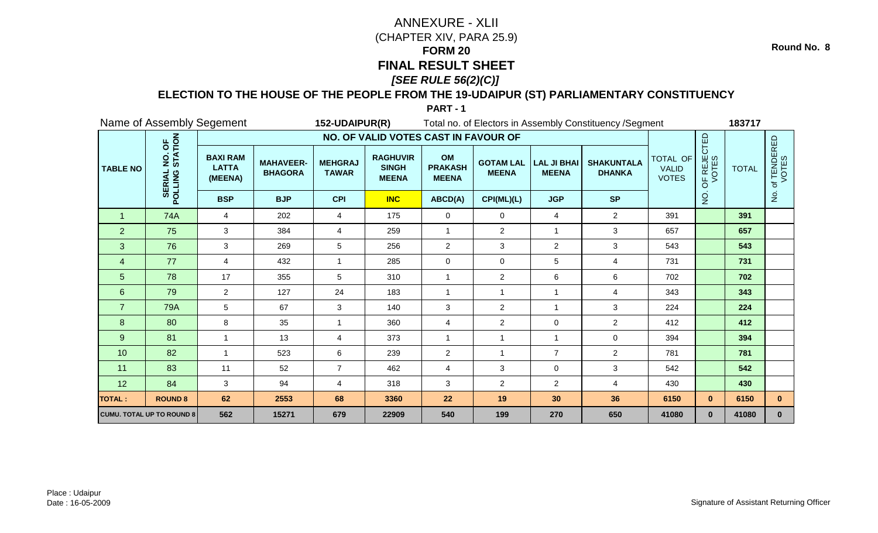### **ELECTION TO THE HOUSE OF THE PEOPLE FROM THE 19-UDAIPUR (ST) PARLIAMENTARY CONSTITUENCY**

|                 | Name of Assembly Segement                     |                                            |                                    | 152-UDAIPUR(R)                 |                                                 |                                      |                                  |                                    | Total no. of Electors in Assembly Constituency / Segment |                                          |                      | 183717       |                                 |
|-----------------|-----------------------------------------------|--------------------------------------------|------------------------------------|--------------------------------|-------------------------------------------------|--------------------------------------|----------------------------------|------------------------------------|----------------------------------------------------------|------------------------------------------|----------------------|--------------|---------------------------------|
|                 |                                               |                                            |                                    |                                | NO. OF VALID VOTES CAST IN FAVOUR OF            |                                      |                                  |                                    |                                                          |                                          |                      |              |                                 |
| <b>TABLE NO</b> | NO. OF<br>STATION<br><b>SERIAL</b><br>POLLING | <b>BAXI RAM</b><br><b>LATTA</b><br>(MEENA) | <b>MAHAVEER-</b><br><b>BHAGORA</b> | <b>MEHGRAJ</b><br><b>TAWAR</b> | <b>RAGHUVIR</b><br><b>SINGH</b><br><b>MEENA</b> | OM<br><b>PRAKASH</b><br><b>MEENA</b> | <b>GOTAM LAL</b><br><b>MEENA</b> | <b>LAL JI BHAI</b><br><b>MEENA</b> | <b>SHAKUNTALA</b><br><b>DHANKA</b>                       | TOTAL OF<br><b>VALID</b><br><b>VOTES</b> | OF REJECTED<br>VOTES | <b>TOTAL</b> | f TENDERED<br>VOTES<br>đ        |
|                 |                                               | <b>BSP</b>                                 | <b>BJP</b>                         | <b>CPI</b>                     | <b>INC</b>                                      | ABCD(A)                              | CPI(ML)(L)                       | <b>JGP</b>                         | <b>SP</b>                                                |                                          | $\frac{1}{2}$        |              | $\frac{\mathsf{O}}{\mathsf{D}}$ |
| $\overline{1}$  | <b>74A</b>                                    | 4                                          | 202                                | 4                              | 175                                             | 0                                    | 0                                | 4                                  | $\overline{2}$                                           | 391                                      |                      | 391          |                                 |
| $\overline{2}$  | 75                                            | 3                                          | 384                                | 4                              | 259                                             | $\overline{1}$                       | $\overline{c}$                   | $\overline{1}$                     | 3                                                        | 657                                      |                      | 657          |                                 |
| 3               | 76                                            | 3                                          | 269                                | 5                              | 256                                             | $\overline{c}$                       | 3                                | $\overline{2}$                     | 3                                                        | 543                                      |                      | 543          |                                 |
| 4               | 77                                            | 4                                          | 432                                | 1                              | 285                                             | $\mathbf 0$                          | 0                                | 5                                  | $\overline{4}$                                           | 731                                      |                      | 731          |                                 |
| 5               | 78                                            | 17                                         | 355                                | 5                              | 310                                             | $\overline{1}$                       | $\overline{c}$                   | 6                                  | 6                                                        | 702                                      |                      | 702          |                                 |
| $6\phantom{1}$  | 79                                            | $\overline{2}$                             | 127                                | 24                             | 183                                             | $\overline{1}$                       | $\mathbf{1}$                     | $\overline{1}$                     | 4                                                        | 343                                      |                      | 343          |                                 |
| $\overline{7}$  | <b>79A</b>                                    | 5                                          | 67                                 | 3                              | 140                                             | 3                                    | $\overline{2}$                   | -1                                 | 3                                                        | 224                                      |                      | 224          |                                 |
| 8               | 80                                            | 8                                          | 35                                 | $\mathbf{1}$                   | 360                                             | $\overline{4}$                       | $\overline{c}$                   | 0                                  | $\overline{2}$                                           | 412                                      |                      | 412          |                                 |
| 9               | 81                                            | 1                                          | 13                                 | 4                              | 373                                             | $\overline{1}$                       | $\mathbf{1}$                     | $\overline{1}$                     | $\mathbf 0$                                              | 394                                      |                      | 394          |                                 |
| 10              | 82                                            | $\overline{1}$                             | 523                                | 6                              | 239                                             | $\overline{2}$                       | 1                                | $\overline{7}$                     | $\overline{2}$                                           | 781                                      |                      | 781          |                                 |
| 11              | 83                                            | 11                                         | 52                                 | $\overline{7}$                 | 462                                             | $\overline{4}$                       | 3                                | 0                                  | $\mathbf{3}$                                             | 542                                      |                      | 542          |                                 |
| 12              | 84                                            | 3                                          | 94                                 | 4                              | 318                                             | 3                                    | $\overline{c}$                   | $\overline{a}$                     | $\overline{4}$                                           | 430                                      |                      | 430          |                                 |
| <b>TOTAL:</b>   | <b>ROUND 8</b>                                | 62                                         | 2553                               | 68                             | 3360                                            | 22                                   | 19                               | 30                                 | 36                                                       | 6150                                     | $\mathbf{0}$         | 6150         | $\mathbf{0}$                    |
|                 | <b>CUMU. TOTAL UP TO ROUND 8</b>              | 562                                        | 15271                              | 679                            | 22909                                           | 540                                  | 199                              | 270                                | 650                                                      | 41080                                    | $\mathbf{0}$         | 41080        | $\mathbf{0}$                    |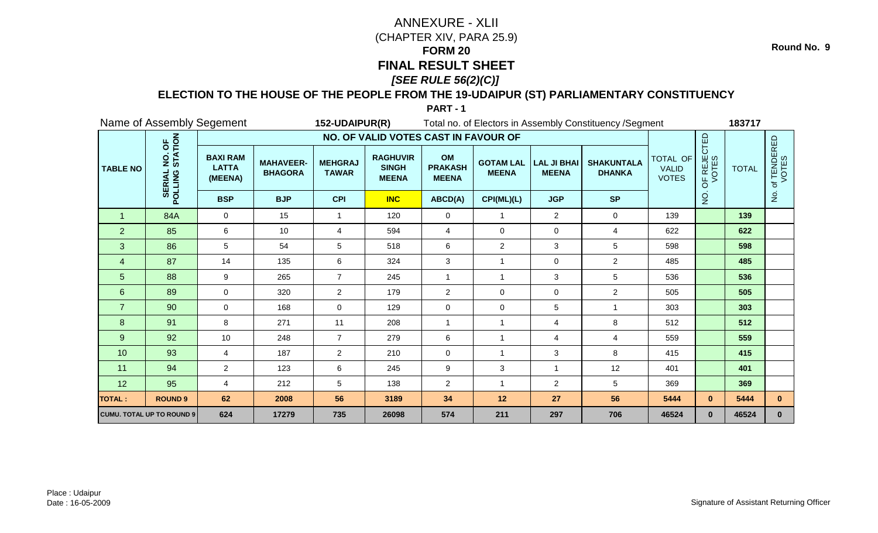### **ELECTION TO THE HOUSE OF THE PEOPLE FROM THE 19-UDAIPUR (ST) PARLIAMENTARY CONSTITUENCY**

**PART - 1**

|                 |                                               | Name of Assembly Segement                  |                                    | 152-UDAIPUR(R)                 |                                                 |                                      |                                  |                                    | Total no. of Electors in Assembly Constituency / Segment |                                          |                      | 183717       |                          |
|-----------------|-----------------------------------------------|--------------------------------------------|------------------------------------|--------------------------------|-------------------------------------------------|--------------------------------------|----------------------------------|------------------------------------|----------------------------------------------------------|------------------------------------------|----------------------|--------------|--------------------------|
|                 |                                               |                                            |                                    |                                | NO. OF VALID VOTES CAST IN FAVOUR OF            |                                      |                                  |                                    |                                                          |                                          |                      |              |                          |
| <b>TABLE NO</b> | NO. OF<br>STATION<br><b>SERIAL</b><br>POLLING | <b>BAXI RAM</b><br><b>LATTA</b><br>(MEENA) | <b>MAHAVEER-</b><br><b>BHAGORA</b> | <b>MEHGRAJ</b><br><b>TAWAR</b> | <b>RAGHUVIR</b><br><b>SINGH</b><br><b>MEENA</b> | OM<br><b>PRAKASH</b><br><b>MEENA</b> | <b>GOTAM LAL</b><br><b>MEENA</b> | <b>LAL JI BHAI</b><br><b>MEENA</b> | <b>SHAKUNTALA</b><br><b>DHANKA</b>                       | TOTAL OF<br><b>VALID</b><br><b>VOTES</b> | OF REJECTED<br>VOTES | <b>TOTAL</b> | f TENDERED<br>VOTES<br>đ |
|                 |                                               | <b>BSP</b>                                 | <b>BJP</b>                         | <b>CPI</b>                     | <b>INC</b>                                      | ABCD(A)                              | CPI(ML)(L)                       | <b>JGP</b>                         | <b>SP</b>                                                |                                          | $\frac{1}{2}$        |              | $\frac{1}{2}$            |
| $\overline{1}$  | 84A                                           | $\mathbf 0$                                | 15                                 | $\mathbf{1}$                   | 120                                             | $\mathbf 0$                          | $\mathbf{1}$                     | $\overline{2}$                     | $\mathbf 0$                                              | 139                                      |                      | 139          |                          |
| $\overline{2}$  | 85                                            | 6                                          | 10                                 | 4                              | 594                                             | $\overline{4}$                       | $\pmb{0}$                        | $\mathbf 0$                        | 4                                                        | 622                                      |                      | 622          |                          |
| 3               | 86                                            | 5                                          | 54                                 | 5                              | 518                                             | 6                                    | $\overline{c}$                   | 3                                  | $5\phantom{.0}$                                          | 598                                      |                      | 598          |                          |
| 4               | 87                                            | 14                                         | 135                                | 6                              | 324                                             | $\mathbf{3}$                         | 1                                | $\mathbf 0$                        | $\overline{2}$                                           | 485                                      |                      | 485          |                          |
| 5               | 88                                            | 9                                          | 265                                | $\overline{7}$                 | 245                                             | $\overline{1}$                       | $\mathbf{1}$                     | 3                                  | $5\phantom{.0}$                                          | 536                                      |                      | 536          |                          |
| $6\phantom{1}$  | 89                                            | $\mathbf 0$                                | 320                                | $\overline{2}$                 | 179                                             | $\overline{2}$                       | 0                                | $\mathbf 0$                        | $\overline{2}$                                           | 505                                      |                      | 505          |                          |
| $\overline{7}$  | 90                                            | $\Omega$                                   | 168                                | 0                              | 129                                             | $\mathbf{0}$                         | 0                                | 5                                  | $\overline{1}$                                           | 303                                      |                      | 303          |                          |
| 8               | 91                                            | 8                                          | 271                                | 11                             | 208                                             | $\overline{1}$                       | $\mathbf{1}$                     | 4                                  | 8                                                        | 512                                      |                      | 512          |                          |
| 9               | 92                                            | 10                                         | 248                                | $\overline{7}$                 | 279                                             | 6                                    | $\mathbf{1}$                     | 4                                  | $\overline{4}$                                           | 559                                      |                      | 559          |                          |
| 10              | 93                                            | 4                                          | 187                                | $\overline{2}$                 | 210                                             | $\mathbf 0$                          | $\mathbf{1}$                     | 3                                  | 8                                                        | 415                                      |                      | 415          |                          |
| 11              | 94                                            | $\overline{2}$                             | 123                                | 6                              | 245                                             | 9                                    | 3                                | 1                                  | 12                                                       | 401                                      |                      | 401          |                          |
| 12              | 95                                            | 4                                          | 212                                | 5                              | 138                                             | $\overline{2}$                       | $\mathbf{1}$                     | $\overline{a}$                     | 5                                                        | 369                                      |                      | 369          |                          |
| <b>TOTAL:</b>   | <b>ROUND 9</b>                                | 62                                         | 2008                               | 56                             | 3189                                            | 34                                   | $12$                             | 27                                 | 56                                                       | 5444                                     | $\mathbf{0}$         | 5444         | $\mathbf{0}$             |
|                 | <b>CUMU. TOTAL UP TO ROUND 9</b>              | 624                                        | 17279                              | 735                            | 26098                                           | 574                                  | 211                              | 297                                | 706                                                      | 46524                                    | $\mathbf{0}$         | 46524        | $\mathbf{0}$             |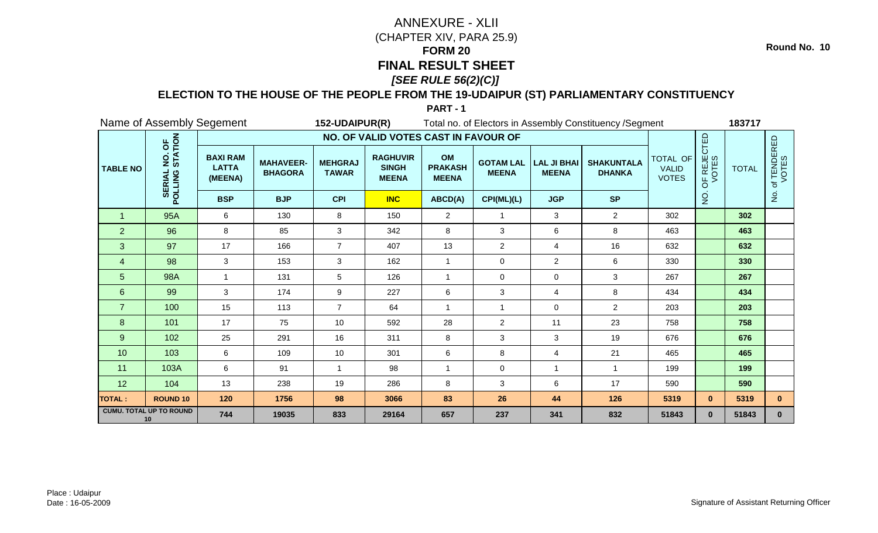### **ELECTION TO THE HOUSE OF THE PEOPLE FROM THE 19-UDAIPUR (ST) PARLIAMENTARY CONSTITUENCY**

|                 |                                               | Name of Assembly Segement                  |                                    | 152-UDAIPUR(R)                 |                                                 |                                      |                                  |                                    | Total no. of Electors in Assembly Constituency / Segment |                                          |                                 | 183717       |                      |
|-----------------|-----------------------------------------------|--------------------------------------------|------------------------------------|--------------------------------|-------------------------------------------------|--------------------------------------|----------------------------------|------------------------------------|----------------------------------------------------------|------------------------------------------|---------------------------------|--------------|----------------------|
|                 |                                               |                                            |                                    |                                | NO. OF VALID VOTES CAST IN FAVOUR OF            |                                      |                                  |                                    |                                                          |                                          |                                 |              |                      |
| <b>TABLE NO</b> | NO. OF<br>STATION<br><b>SERIAL</b><br>POLLING | <b>BAXI RAM</b><br><b>LATTA</b><br>(MEENA) | <b>MAHAVEER-</b><br><b>BHAGORA</b> | <b>MEHGRAJ</b><br><b>TAWAR</b> | <b>RAGHUVIR</b><br><b>SINGH</b><br><b>MEENA</b> | OM<br><b>PRAKASH</b><br><b>MEENA</b> | <b>GOTAM LAL</b><br><b>MEENA</b> | <b>LAL JI BHAI</b><br><b>MEENA</b> | <b>SHAKUNTALA</b><br><b>DHANKA</b>                       | TOTAL OF<br><b>VALID</b><br><b>VOTES</b> | OF REJECTED<br>VOTES            | <b>TOTAL</b> | of TENDERED<br>VOTES |
|                 |                                               | <b>BSP</b>                                 | <b>BJP</b>                         | <b>CPI</b>                     | <b>INC</b>                                      | ABCD(A)                              | CPI(ML)(L)                       | <b>JGP</b>                         | <b>SP</b>                                                |                                          | $\frac{\mathsf{O}}{\mathsf{Z}}$ |              | $\overline{2}$       |
| $\mathbf 1$     | 95A                                           | 6                                          | 130                                | 8                              | 150                                             | $\overline{2}$                       | $\overline{1}$                   | 3                                  | $\overline{2}$                                           | 302                                      |                                 | 302          |                      |
| $\overline{2}$  | 96                                            | 8                                          | 85                                 | 3                              | 342                                             | 8                                    | 3                                | 6                                  | 8                                                        | 463                                      |                                 | 463          |                      |
| 3               | 97                                            | 17                                         | 166                                | $\overline{7}$                 | 407                                             | 13                                   | $\overline{2}$                   | 4                                  | 16                                                       | 632                                      |                                 | 632          |                      |
| 4               | 98                                            | 3                                          | 153                                | 3                              | 162                                             | $\overline{1}$                       | 0                                | $\overline{2}$                     | 6                                                        | 330                                      |                                 | 330          |                      |
| 5               | 98A                                           | $\mathbf 1$                                | 131                                | 5                              | 126                                             | -1                                   | 0                                | 0                                  | 3                                                        | 267                                      |                                 | 267          |                      |
| 6               | 99                                            | 3                                          | 174                                | 9                              | 227                                             | 6                                    | 3                                | 4                                  | 8                                                        | 434                                      |                                 | 434          |                      |
| $\overline{7}$  | 100                                           | 15                                         | 113                                | $\overline{7}$                 | 64                                              | $\mathbf 1$                          | 1                                | 0                                  | $\overline{2}$                                           | 203                                      |                                 | 203          |                      |
| 8               | 101                                           | 17                                         | 75                                 | 10                             | 592                                             | 28                                   | $\overline{2}$                   | 11                                 | 23                                                       | 758                                      |                                 | 758          |                      |
| $\overline{9}$  | 102                                           | 25                                         | 291                                | 16                             | 311                                             | $\,8\,$                              | 3                                | 3                                  | 19                                                       | 676                                      |                                 | 676          |                      |
| 10              | 103                                           | 6                                          | 109                                | 10                             | 301                                             | 6                                    | 8                                | 4                                  | 21                                                       | 465                                      |                                 | 465          |                      |
| 11              | 103A                                          | 6                                          | 91                                 |                                | 98                                              |                                      | 0                                | -1                                 |                                                          | 199                                      |                                 | 199          |                      |
| 12              | 104                                           | 13                                         | 238                                | 19                             | 286                                             | 8                                    | 3                                | 6                                  | 17                                                       | 590                                      |                                 | 590          |                      |
| TOTAL :         | <b>ROUND 10</b>                               | 120                                        | 1756                               | 98                             | 3066                                            | 83                                   | 26                               | 44                                 | 126                                                      | 5319                                     | $\mathbf{0}$                    | 5319         | $\mathbf{0}$         |
|                 | <b>CUMU. TOTAL UP TO ROUND</b><br>10          | 744                                        | 19035                              | 833                            | 29164                                           | 657                                  | 237                              | 341                                | 832                                                      | 51843                                    | $\mathbf{0}$                    | 51843        | $\mathbf{0}$         |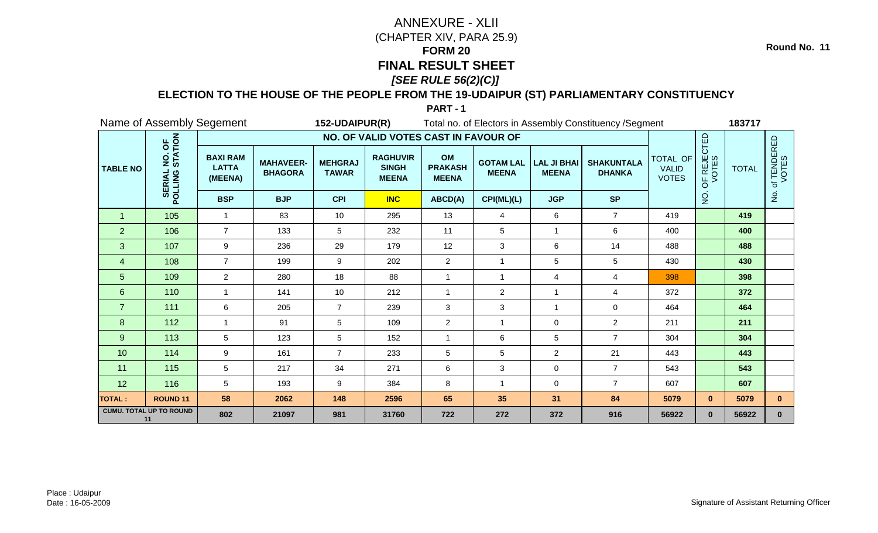### **ELECTION TO THE HOUSE OF THE PEOPLE FROM THE 19-UDAIPUR (ST) PARLIAMENTARY CONSTITUENCY**

|                 |                                               | Name of Assembly Segement                  |                                    | 152-UDAIPUR(R)                 |                                                 |                                      |                                  |                                    | Total no. of Electors in Assembly Constituency / Segment |                                          |                                 | 183717       |                                 |
|-----------------|-----------------------------------------------|--------------------------------------------|------------------------------------|--------------------------------|-------------------------------------------------|--------------------------------------|----------------------------------|------------------------------------|----------------------------------------------------------|------------------------------------------|---------------------------------|--------------|---------------------------------|
|                 |                                               |                                            |                                    |                                | NO. OF VALID VOTES CAST IN FAVOUR OF            |                                      |                                  |                                    |                                                          |                                          |                                 |              |                                 |
| <b>TABLE NO</b> | NO. OF<br>STATION<br><b>SERIAL</b><br>POLLING | <b>BAXI RAM</b><br><b>LATTA</b><br>(MEENA) | <b>MAHAVEER-</b><br><b>BHAGORA</b> | <b>MEHGRAJ</b><br><b>TAWAR</b> | <b>RAGHUVIR</b><br><b>SINGH</b><br><b>MEENA</b> | OM<br><b>PRAKASH</b><br><b>MEENA</b> | <b>GOTAM LAL</b><br><b>MEENA</b> | <b>LAL JI BHAI</b><br><b>MEENA</b> | <b>SHAKUNTALA</b><br><b>DHANKA</b>                       | TOTAL OF<br><b>VALID</b><br><b>VOTES</b> | OF REJECTED<br>VOTES            | <b>TOTAL</b> | of TENDERED<br>VOTES            |
|                 |                                               | <b>BSP</b>                                 | <b>BJP</b>                         | <b>CPI</b>                     | <b>INC</b>                                      | ABCD(A)                              | CPI(ML)(L)                       | <b>JGP</b>                         | <b>SP</b>                                                |                                          | $\frac{\mathsf{O}}{\mathsf{Z}}$ |              | $\frac{\mathsf{O}}{\mathsf{D}}$ |
| $\overline{1}$  | 105                                           | 1                                          | 83                                 | 10                             | 295                                             | 13                                   | 4                                | 6                                  | $\overline{7}$                                           | 419                                      |                                 | 419          |                                 |
| $\overline{2}$  | 106                                           | $\overline{7}$                             | 133                                | 5                              | 232                                             | 11                                   | 5                                | $\mathbf{1}$                       | 6                                                        | 400                                      |                                 | 400          |                                 |
| 3               | 107                                           | 9                                          | 236                                | 29                             | 179                                             | 12                                   | 3                                | 6                                  | 14                                                       | 488                                      |                                 | 488          |                                 |
| 4               | 108                                           | $\overline{7}$                             | 199                                | 9                              | 202                                             | $\overline{2}$                       | 1                                | 5                                  | 5                                                        | 430                                      |                                 | 430          |                                 |
| 5               | 109                                           | $\overline{2}$                             | 280                                | 18                             | 88                                              | 1                                    | 1                                | 4                                  | $\overline{4}$                                           | 398                                      |                                 | 398          |                                 |
| 6               | 110                                           | $\mathbf{1}$                               | 141                                | 10                             | 212                                             | $\mathbf{1}$                         | $\overline{2}$                   | $\mathbf 1$                        | 4                                                        | 372                                      |                                 | 372          |                                 |
| $\overline{7}$  | 111                                           | 6                                          | 205                                | $\overline{7}$                 | 239                                             | 3                                    | 3                                | -1                                 | $\mathbf 0$                                              | 464                                      |                                 | 464          |                                 |
| 8               | 112                                           | $\overline{1}$                             | 91                                 | 5                              | 109                                             | $\overline{c}$                       | 1                                | 0                                  | $\overline{2}$                                           | 211                                      |                                 | 211          |                                 |
| $\overline{9}$  | 113                                           | 5                                          | 123                                | 5                              | 152                                             | $\overline{1}$                       | 6                                | 5                                  | $\overline{7}$                                           | 304                                      |                                 | 304          |                                 |
| 10              | 114                                           | 9                                          | 161                                | $\overline{7}$                 | 233                                             | $\sqrt{5}$                           | 5                                | $\overline{2}$                     | 21                                                       | 443                                      |                                 | 443          |                                 |
| 11              | 115                                           | 5                                          | 217                                | 34                             | 271                                             | 6                                    | 3                                | 0                                  | $\overline{7}$                                           | 543                                      |                                 | 543          |                                 |
| 12              | 116                                           | 5                                          | 193                                | 9                              | 384                                             | 8                                    | 1                                | 0                                  | $\overline{7}$                                           | 607                                      |                                 | 607          |                                 |
| TOTAL :         | <b>ROUND 11</b>                               | 58                                         | 2062                               | 148                            | 2596                                            | 65                                   | 35                               | 31                                 | 84                                                       | 5079                                     | $\mathbf{0}$                    | 5079         | $\mathbf{0}$                    |
|                 | <b>CUMU. TOTAL UP TO ROUND</b><br>11          | 802                                        | 21097                              | 981                            | 31760                                           | 722                                  | 272                              | 372                                | 916                                                      | 56922                                    | $\mathbf{0}$                    | 56922        | $\mathbf{0}$                    |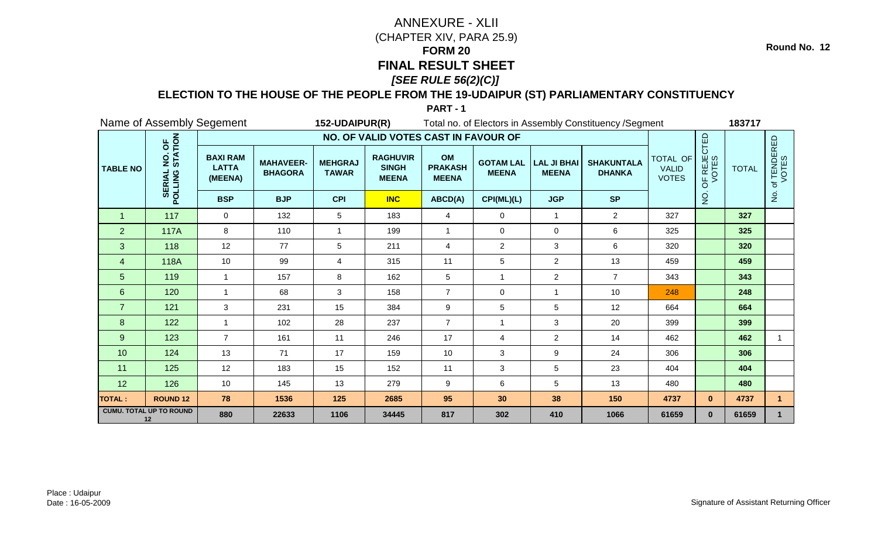### **ELECTION TO THE HOUSE OF THE PEOPLE FROM THE 19-UDAIPUR (ST) PARLIAMENTARY CONSTITUENCY**

**PART - 1**

|                 |                                               | Name of Assembly Segement                  |                                    | 152-UDAIPUR(R)                 |                                                 |                                      |                                  |                                    | Total no. of Electors in Assembly Constituency / Segment |                                          |                                        | 183717       |                      |
|-----------------|-----------------------------------------------|--------------------------------------------|------------------------------------|--------------------------------|-------------------------------------------------|--------------------------------------|----------------------------------|------------------------------------|----------------------------------------------------------|------------------------------------------|----------------------------------------|--------------|----------------------|
|                 |                                               |                                            |                                    |                                | NO. OF VALID VOTES CAST IN FAVOUR OF            |                                      |                                  |                                    |                                                          |                                          |                                        |              |                      |
| <b>TABLE NO</b> | NO. OF<br>STATION<br><b>SERIAL</b><br>POLLING | <b>BAXI RAM</b><br><b>LATTA</b><br>(MEENA) | <b>MAHAVEER-</b><br><b>BHAGORA</b> | <b>MEHGRAJ</b><br><b>TAWAR</b> | <b>RAGHUVIR</b><br><b>SINGH</b><br><b>MEENA</b> | OM<br><b>PRAKASH</b><br><b>MEENA</b> | <b>GOTAM LAL</b><br><b>MEENA</b> | <b>LAL JI BHAI</b><br><b>MEENA</b> | <b>SHAKUNTALA</b><br><b>DHANKA</b>                       | TOTAL OF<br><b>VALID</b><br><b>VOTES</b> | OF REJECTED<br>VOTES                   | <b>TOTAL</b> | of TENDERED<br>VOTES |
|                 |                                               | <b>BSP</b>                                 | <b>BJP</b>                         | <b>CPI</b>                     | <b>INC</b>                                      | ABCD(A)                              | CPI(ML)(L)                       | <b>JGP</b>                         | <b>SP</b>                                                |                                          | $\frac{\dot {\mathsf{Q}}}{\mathsf{Z}}$ |              | $\overline{2}$       |
| $\overline{1}$  | 117                                           | $\mathbf 0$                                | 132                                | 5                              | 183                                             | 4                                    | 0                                | $\mathbf{1}$                       | $\overline{2}$                                           | 327                                      |                                        | 327          |                      |
| $\overline{2}$  | <b>117A</b>                                   | 8                                          | 110                                | $\overline{1}$                 | 199                                             | $\overline{1}$                       | 0                                | 0                                  | 6                                                        | 325                                      |                                        | 325          |                      |
| 3               | 118                                           | 12                                         | 77                                 | 5                              | 211                                             | $\overline{4}$                       | $\overline{2}$                   | 3                                  | 6                                                        | 320                                      |                                        | 320          |                      |
| 4               | 118A                                          | 10                                         | 99                                 | 4                              | 315                                             | 11                                   | 5                                | $\overline{2}$                     | 13                                                       | 459                                      |                                        | 459          |                      |
| 5               | 119                                           | $\mathbf{1}$                               | 157                                | 8                              | 162                                             | 5                                    | 1                                | $\overline{2}$                     | $\overline{7}$                                           | 343                                      |                                        | 343          |                      |
| 6               | 120                                           | $\mathbf{1}$                               | 68                                 | 3                              | 158                                             | $\overline{7}$                       | 0                                | $\mathbf{1}$                       | 10                                                       | 248                                      |                                        | 248          |                      |
| $\overline{7}$  | 121                                           | 3                                          | 231                                | 15                             | 384                                             | 9                                    | 5                                | 5                                  | 12                                                       | 664                                      |                                        | 664          |                      |
| 8 <sup>8</sup>  | 122                                           | $\overline{1}$                             | 102                                | 28                             | 237                                             | $\overline{7}$                       | $\overline{1}$                   | 3                                  | 20                                                       | 399                                      |                                        | 399          |                      |
| 9               | 123                                           | $\overline{7}$                             | 161                                | 11                             | 246                                             | 17                                   | 4                                | $\overline{a}$                     | 14                                                       | 462                                      |                                        | 462          |                      |
| 10              | 124                                           | 13                                         | 71                                 | 17                             | 159                                             | 10                                   | 3                                | 9                                  | 24                                                       | 306                                      |                                        | 306          |                      |
| 11              | 125                                           | 12                                         | 183                                | 15                             | 152                                             | 11                                   | 3                                | 5                                  | 23                                                       | 404                                      |                                        | 404          |                      |
| 12              | 126                                           | 10                                         | 145                                | 13                             | 279                                             | 9                                    | 6                                | 5                                  | 13                                                       | 480                                      |                                        | 480          |                      |
| <b>TOTAL:</b>   | <b>ROUND 12</b>                               | 78                                         | 1536                               | 125                            | 2685                                            | 95                                   | 30                               | 38                                 | 150                                                      | 4737                                     | $\mathbf{0}$                           | 4737         | $\mathbf{1}$         |
|                 | <b>CUMU. TOTAL UP TO ROUND</b><br>12          | 880                                        | 22633                              | 1106                           | 34445                                           | 817                                  | 302                              | 410                                | 1066                                                     | 61659                                    | $\mathbf{0}$                           | 61659        | $\mathbf{1}$         |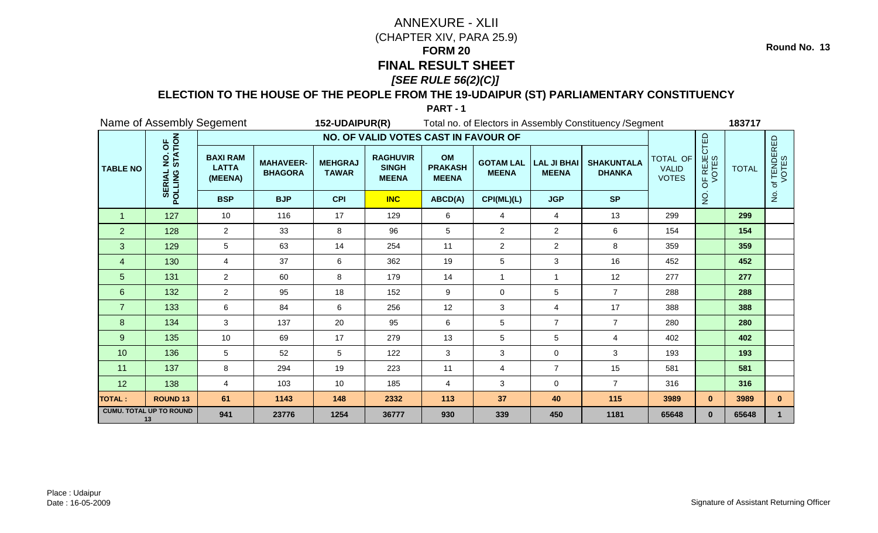### **ELECTION TO THE HOUSE OF THE PEOPLE FROM THE 19-UDAIPUR (ST) PARLIAMENTARY CONSTITUENCY**

**PART - 1**

| Name of Assembly Segement            |                                               |                                            |                                      | 152-UDAIPUR(R)                 |                                                 |                                      | Total no. of Electors in Assembly Constituency / Segment |                                    |                                    | 183717                       |                                        |       |                |                      |              |                      |
|--------------------------------------|-----------------------------------------------|--------------------------------------------|--------------------------------------|--------------------------------|-------------------------------------------------|--------------------------------------|----------------------------------------------------------|------------------------------------|------------------------------------|------------------------------|----------------------------------------|-------|----------------|----------------------|--------------|----------------------|
|                                      |                                               |                                            | NO. OF VALID VOTES CAST IN FAVOUR OF |                                |                                                 |                                      |                                                          |                                    |                                    |                              |                                        |       |                |                      |              |                      |
| <b>TABLE NO</b>                      | NO. OF<br>STATION<br><b>SERIAL</b><br>POLLING | <b>BAXI RAM</b><br><b>LATTA</b><br>(MEENA) | <b>MAHAVEER-</b><br><b>BHAGORA</b>   | <b>MEHGRAJ</b><br><b>TAWAR</b> | <b>RAGHUVIR</b><br><b>SINGH</b><br><b>MEENA</b> | OM<br><b>PRAKASH</b><br><b>MEENA</b> | <b>GOTAM LAL</b><br><b>MEENA</b>                         | <b>LAL JI BHAI</b><br><b>MEENA</b> | <b>SHAKUNTALA</b><br><b>DHANKA</b> | <b>VALID</b><br><b>VOTES</b> | TOTAL OF                               |       |                | OF REJECTED<br>VOTES | <b>TOTAL</b> | of TENDERED<br>VOTES |
|                                      |                                               | <b>BSP</b>                                 | <b>BJP</b>                           | <b>CPI</b>                     | <b>INC</b>                                      | ABCD(A)                              | CPI(ML)(L)                                               | <b>JGP</b>                         | <b>SP</b>                          |                              | $\frac{\dot {\mathsf{Q}}}{\mathsf{Z}}$ |       | $\overline{2}$ |                      |              |                      |
| $\overline{1}$                       | 127                                           | 10                                         | 116                                  | 17                             | 129                                             | 6                                    | 4                                                        | $\overline{4}$                     | 13                                 | 299                          |                                        | 299   |                |                      |              |                      |
| $\overline{2}$                       | 128                                           | $\overline{2}$                             | 33                                   | 8                              | 96                                              | 5                                    | $\overline{2}$                                           | $\overline{2}$                     | 6                                  | 154                          |                                        | 154   |                |                      |              |                      |
| 3                                    | 129                                           | 5                                          | 63                                   | 14                             | 254                                             | 11                                   | $\overline{2}$                                           | $\overline{2}$                     | 8                                  | 359                          |                                        | 359   |                |                      |              |                      |
| 4                                    | 130                                           | $\overline{4}$                             | 37                                   | 6                              | 362                                             | 19                                   | 5                                                        | 3                                  | 16                                 | 452                          |                                        | 452   |                |                      |              |                      |
| 5                                    | 131                                           | $\overline{2}$                             | 60                                   | 8                              | 179                                             | 14                                   | 1                                                        | $\mathbf 1$                        | 12                                 | 277                          |                                        | 277   |                |                      |              |                      |
| 6                                    | 132                                           | $\overline{2}$                             | 95                                   | 18                             | 152                                             | 9                                    | 0                                                        | 5                                  | $\overline{7}$                     | 288                          |                                        | 288   |                |                      |              |                      |
| $\overline{7}$                       | 133                                           | 6                                          | 84                                   | 6                              | 256                                             | 12                                   | 3                                                        | 4                                  | 17                                 | 388                          |                                        | 388   |                |                      |              |                      |
| 8 <sup>8</sup>                       | 134                                           | 3                                          | 137                                  | 20                             | 95                                              | 6                                    | 5                                                        | $\overline{7}$                     | $\overline{7}$                     | 280                          |                                        | 280   |                |                      |              |                      |
| 9                                    | 135                                           | 10                                         | 69                                   | 17                             | 279                                             | 13                                   | 5                                                        | 5                                  | $\overline{4}$                     | 402                          |                                        | 402   |                |                      |              |                      |
| 10                                   | 136                                           | 5                                          | 52                                   | 5                              | 122                                             | 3                                    | 3                                                        | $\mathbf 0$                        | 3                                  | 193                          |                                        | 193   |                |                      |              |                      |
| 11                                   | 137                                           | 8                                          | 294                                  | 19                             | 223                                             | 11                                   | 4                                                        | $\overline{7}$                     | 15                                 | 581                          |                                        | 581   |                |                      |              |                      |
| 12                                   | 138                                           | 4                                          | 103                                  | 10                             | 185                                             | $\overline{4}$                       | 3                                                        | 0                                  | $\overline{7}$                     | 316                          |                                        | 316   |                |                      |              |                      |
| <b>TOTAL:</b>                        | <b>ROUND 13</b>                               | 61                                         | 1143                                 | 148                            | 2332                                            | 113                                  | 37                                                       | 40                                 | 115                                | 3989                         | $\mathbf{0}$                           | 3989  | $\mathbf{0}$   |                      |              |                      |
| <b>CUMU. TOTAL UP TO ROUND</b><br>13 |                                               | 941                                        | 23776                                | 1254                           | 36777                                           | 930                                  | 339                                                      | 450                                | 1181                               | 65648                        | $\mathbf{0}$                           | 65648 | $\mathbf{1}$   |                      |              |                      |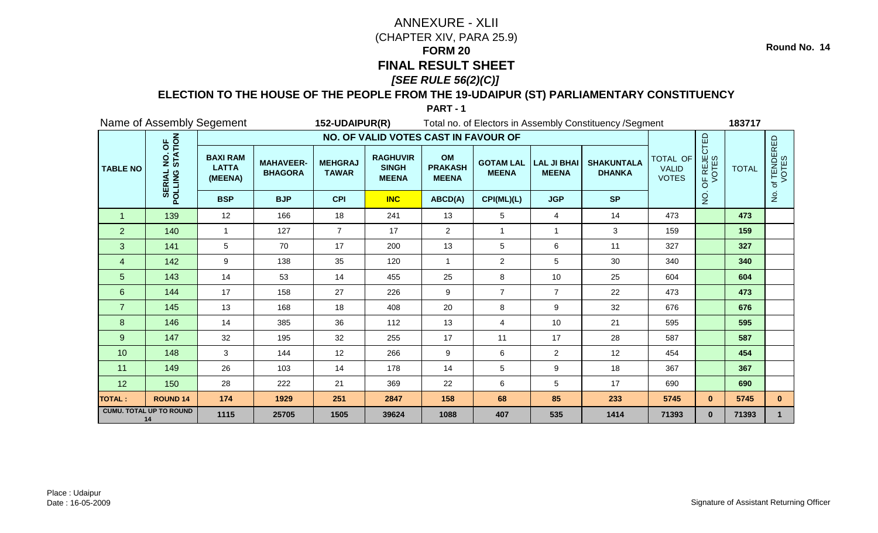### **ELECTION TO THE HOUSE OF THE PEOPLE FROM THE 19-UDAIPUR (ST) PARLIAMENTARY CONSTITUENCY**

| Name of Assembly Segement            |                                               |                                            |                                    | 152-UDAIPUR(R)                 |                                                 |                                      | Total no. of Electors in Assembly Constituency / Segment |                                    |                                    | 183717                       |                                        |       |                      |              |
|--------------------------------------|-----------------------------------------------|--------------------------------------------|------------------------------------|--------------------------------|-------------------------------------------------|--------------------------------------|----------------------------------------------------------|------------------------------------|------------------------------------|------------------------------|----------------------------------------|-------|----------------------|--------------|
| <b>TABLE NO</b>                      |                                               | NO. OF VALID VOTES CAST IN FAVOUR OF       |                                    |                                |                                                 |                                      |                                                          |                                    |                                    |                              |                                        |       |                      |              |
|                                      | NO. OF<br>STATION<br><b>SERIAL</b><br>POLLING | <b>BAXI RAM</b><br><b>LATTA</b><br>(MEENA) | <b>MAHAVEER-</b><br><b>BHAGORA</b> | <b>MEHGRAJ</b><br><b>TAWAR</b> | <b>RAGHUVIR</b><br><b>SINGH</b><br><b>MEENA</b> | OM<br><b>PRAKASH</b><br><b>MEENA</b> | <b>GOTAM LAL</b><br><b>MEENA</b>                         | <b>LAL JI BHAI</b><br><b>MEENA</b> | <b>SHAKUNTALA</b><br><b>DHANKA</b> | <b>VALID</b><br><b>VOTES</b> | TOTAL OF                               |       | OF REJECTED<br>VOTES | <b>TOTAL</b> |
|                                      |                                               | <b>BSP</b>                                 | <b>BJP</b>                         | <b>CPI</b>                     | <b>INC</b>                                      | ABCD(A)                              | CPI(ML)(L)                                               | <b>JGP</b>                         | <b>SP</b>                          |                              | $\frac{\dot {\mathsf{Q}}}{\mathsf{Z}}$ |       | $\frac{1}{2}$        |              |
| $\mathbf 1$                          | 139                                           | 12                                         | 166                                | 18                             | 241                                             | 13                                   | 5                                                        | 4                                  | 14                                 | 473                          |                                        | 473   |                      |              |
| $\overline{2}$                       | 140                                           | $\mathbf{1}$                               | 127                                | $\overline{7}$                 | 17                                              | $\overline{2}$                       | $\overline{1}$                                           | $\mathbf{1}$                       | $\mathbf{3}$                       | 159                          |                                        | 159   |                      |              |
| 3                                    | 141                                           | 5                                          | 70                                 | 17                             | 200                                             | 13                                   | 5                                                        | 6                                  | 11                                 | 327                          |                                        | 327   |                      |              |
| 4                                    | 142                                           | 9                                          | 138                                | 35                             | 120                                             | $\overline{1}$                       | $\overline{2}$                                           | 5                                  | 30                                 | 340                          |                                        | 340   |                      |              |
| 5                                    | 143                                           | 14                                         | 53                                 | 14                             | 455                                             | 25                                   | 8                                                        | 10                                 | 25                                 | 604                          |                                        | 604   |                      |              |
| 6                                    | 144                                           | 17                                         | 158                                | 27                             | 226                                             | 9                                    | $\overline{7}$                                           | $\overline{7}$                     | 22                                 | 473                          |                                        | 473   |                      |              |
| $\overline{7}$                       | 145                                           | 13                                         | 168                                | 18                             | 408                                             | 20                                   | 8                                                        | 9                                  | 32                                 | 676                          |                                        | 676   |                      |              |
| 8                                    | 146                                           | 14                                         | 385                                | 36                             | 112                                             | 13                                   | 4                                                        | 10                                 | 21                                 | 595                          |                                        | 595   |                      |              |
| 9                                    | 147                                           | 32                                         | 195                                | 32                             | 255                                             | 17                                   | 11                                                       | 17                                 | 28                                 | 587                          |                                        | 587   |                      |              |
| 10                                   | 148                                           | 3                                          | 144                                | 12                             | 266                                             | 9                                    | 6                                                        | $\overline{2}$                     | 12                                 | 454                          |                                        | 454   |                      |              |
| 11                                   | 149                                           | 26                                         | 103                                | 14                             | 178                                             | 14                                   | 5                                                        | 9                                  | 18                                 | 367                          |                                        | 367   |                      |              |
| 12                                   | 150                                           | 28                                         | 222                                | 21                             | 369                                             | 22                                   | 6                                                        | 5                                  | 17                                 | 690                          |                                        | 690   |                      |              |
| <b>TOTAL:</b>                        | <b>ROUND 14</b>                               | 174                                        | 1929                               | 251                            | 2847                                            | 158                                  | 68                                                       | 85                                 | 233                                | 5745                         | $\mathbf{0}$                           | 5745  | $\mathbf{0}$         |              |
| <b>CUMU. TOTAL UP TO ROUND</b><br>14 |                                               | 1115                                       | 25705                              | 1505                           | 39624                                           | 1088                                 | 407                                                      | 535                                | 1414                               | 71393                        | $\mathbf{0}$                           | 71393 | $\mathbf{1}$         |              |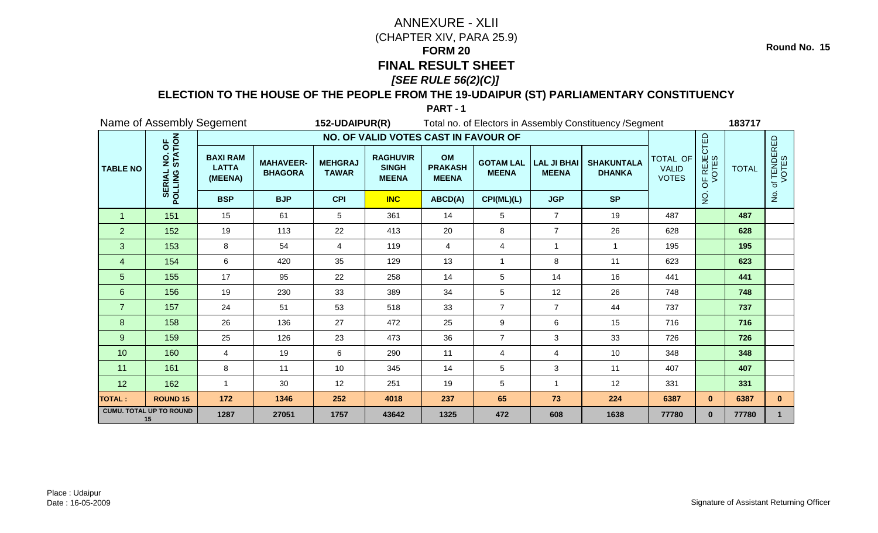### **ELECTION TO THE HOUSE OF THE PEOPLE FROM THE 19-UDAIPUR (ST) PARLIAMENTARY CONSTITUENCY**

| Name of Assembly Segement            |                                               |                                            |                                    | 152-UDAIPUR(R)                 |                                                 |                                      | Total no. of Electors in Assembly Constituency / Segment |                                    |                                    | 183717                       |                                 |       |                      |              |                      |
|--------------------------------------|-----------------------------------------------|--------------------------------------------|------------------------------------|--------------------------------|-------------------------------------------------|--------------------------------------|----------------------------------------------------------|------------------------------------|------------------------------------|------------------------------|---------------------------------|-------|----------------------|--------------|----------------------|
|                                      |                                               | NO. OF VALID VOTES CAST IN FAVOUR OF       |                                    |                                |                                                 |                                      |                                                          |                                    |                                    |                              |                                 |       |                      |              |                      |
| <b>TABLE NO</b>                      | NO. OF<br>STATION<br><b>SERIAL</b><br>POLLING | <b>BAXI RAM</b><br><b>LATTA</b><br>(MEENA) | <b>MAHAVEER-</b><br><b>BHAGORA</b> | <b>MEHGRAJ</b><br><b>TAWAR</b> | <b>RAGHUVIR</b><br><b>SINGH</b><br><b>MEENA</b> | OM<br><b>PRAKASH</b><br><b>MEENA</b> | <b>GOTAM LAL</b><br><b>MEENA</b>                         | <b>LAL JI BHAI</b><br><b>MEENA</b> | <b>SHAKUNTALA</b><br><b>DHANKA</b> | <b>VALID</b><br><b>VOTES</b> | TOTAL OF                        |       | OF REJECTED<br>VOTES | <b>TOTAL</b> | of TENDERED<br>VOTES |
|                                      |                                               | <b>BSP</b>                                 | <b>BJP</b>                         | <b>CPI</b>                     | <b>INC</b>                                      | ABCD(A)                              | CPI(ML)(L)                                               | <b>JGP</b>                         | <b>SP</b>                          |                              | $\frac{\mathsf{O}}{\mathsf{Z}}$ |       | $\frac{5}{2}$        |              |                      |
| $\overline{1}$                       | 151                                           | 15                                         | 61                                 | 5                              | 361                                             | 14                                   | 5                                                        | $\overline{7}$                     | 19                                 | 487                          |                                 | 487   |                      |              |                      |
| $\overline{2}$                       | 152                                           | 19                                         | 113                                | 22                             | 413                                             | 20                                   | 8                                                        | $\overline{7}$                     | 26                                 | 628                          |                                 | 628   |                      |              |                      |
| 3                                    | 153                                           | 8                                          | 54                                 | 4                              | 119                                             | 4                                    | 4                                                        | -1                                 |                                    | 195                          |                                 | 195   |                      |              |                      |
| 4                                    | 154                                           | 6                                          | 420                                | 35                             | 129                                             | 13                                   | 1                                                        | 8                                  | 11                                 | 623                          |                                 | 623   |                      |              |                      |
| 5                                    | 155                                           | 17                                         | 95                                 | 22                             | 258                                             | 14                                   | 5                                                        | 14                                 | 16                                 | 441                          |                                 | 441   |                      |              |                      |
| 6                                    | 156                                           | 19                                         | 230                                | 33                             | 389                                             | 34                                   | 5                                                        | 12                                 | 26                                 | 748                          |                                 | 748   |                      |              |                      |
| $\overline{7}$                       | 157                                           | 24                                         | 51                                 | 53                             | 518                                             | 33                                   | $\overline{7}$                                           | $\overline{7}$                     | 44                                 | 737                          |                                 | 737   |                      |              |                      |
| 8                                    | 158                                           | 26                                         | 136                                | 27                             | 472                                             | 25                                   | 9                                                        | 6                                  | 15                                 | 716                          |                                 | 716   |                      |              |                      |
| $\overline{9}$                       | 159                                           | 25                                         | 126                                | 23                             | 473                                             | 36                                   | $\overline{7}$                                           | 3                                  | 33                                 | 726                          |                                 | 726   |                      |              |                      |
| 10                                   | 160                                           | 4                                          | 19                                 | 6                              | 290                                             | 11                                   | 4                                                        | 4                                  | 10                                 | 348                          |                                 | 348   |                      |              |                      |
| 11                                   | 161                                           | 8                                          | 11                                 | 10                             | 345                                             | 14                                   | 5                                                        | 3                                  | 11                                 | 407                          |                                 | 407   |                      |              |                      |
| 12                                   | 162                                           | $\overline{1}$                             | 30                                 | 12                             | 251                                             | 19                                   | 5                                                        |                                    | 12                                 | 331                          |                                 | 331   |                      |              |                      |
| TOTAL :                              | <b>ROUND 15</b>                               | 172                                        | 1346                               | 252                            | 4018                                            | 237                                  | 65                                                       | 73                                 | 224                                | 6387                         | $\mathbf{0}$                    | 6387  | $\mathbf{0}$         |              |                      |
| <b>CUMU. TOTAL UP TO ROUND</b><br>15 |                                               | 1287                                       | 27051                              | 1757                           | 43642                                           | 1325                                 | 472                                                      | 608                                | 1638                               | 77780                        | $\mathbf{0}$                    | 77780 | $\mathbf{1}$         |              |                      |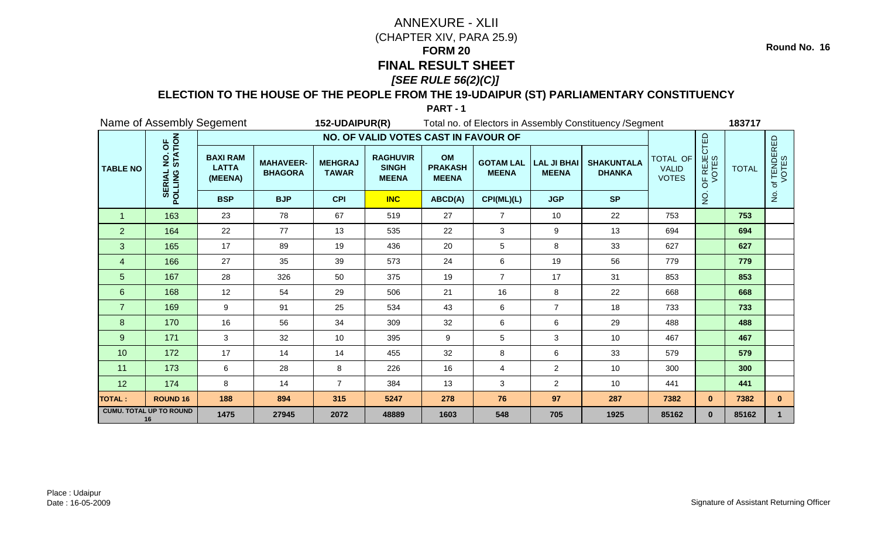### **ELECTION TO THE HOUSE OF THE PEOPLE FROM THE 19-UDAIPUR (ST) PARLIAMENTARY CONSTITUENCY**

| Name of Assembly Segement            |                                               |                                            |                                    | 152-UDAIPUR(R)                 |                                                 |                                      | Total no. of Electors in Assembly Constituency / Segment |                                    |                                    | 183717                       |                                 |       |                      |              |
|--------------------------------------|-----------------------------------------------|--------------------------------------------|------------------------------------|--------------------------------|-------------------------------------------------|--------------------------------------|----------------------------------------------------------|------------------------------------|------------------------------------|------------------------------|---------------------------------|-------|----------------------|--------------|
| <b>TABLE NO</b>                      |                                               | NO. OF VALID VOTES CAST IN FAVOUR OF       |                                    |                                |                                                 |                                      |                                                          |                                    |                                    |                              |                                 |       |                      |              |
|                                      | NO. OF<br>STATION<br><b>SERIAL</b><br>POLLING | <b>BAXI RAM</b><br><b>LATTA</b><br>(MEENA) | <b>MAHAVEER-</b><br><b>BHAGORA</b> | <b>MEHGRAJ</b><br><b>TAWAR</b> | <b>RAGHUVIR</b><br><b>SINGH</b><br><b>MEENA</b> | OM<br><b>PRAKASH</b><br><b>MEENA</b> | <b>GOTAM LAL</b><br><b>MEENA</b>                         | <b>LAL JI BHAI</b><br><b>MEENA</b> | <b>SHAKUNTALA</b><br><b>DHANKA</b> | <b>VALID</b><br><b>VOTES</b> | TOTAL OF                        |       | OF REJECTED<br>VOTES | <b>TOTAL</b> |
|                                      |                                               | <b>BSP</b>                                 | <b>BJP</b>                         | <b>CPI</b>                     | <b>INC</b>                                      | ABCD(A)                              | CPI(ML)(L)                                               | <b>JGP</b>                         | <b>SP</b>                          |                              | $\frac{\mathsf{O}}{\mathsf{Z}}$ |       | $\frac{5}{2}$        |              |
| $\mathbf 1$                          | 163                                           | 23                                         | 78                                 | 67                             | 519                                             | 27                                   | $\overline{7}$                                           | 10                                 | 22                                 | 753                          |                                 | 753   |                      |              |
| $\overline{2}$                       | 164                                           | 22                                         | 77                                 | 13                             | 535                                             | 22                                   | 3                                                        | $\boldsymbol{9}$                   | 13                                 | 694                          |                                 | 694   |                      |              |
| 3                                    | 165                                           | 17                                         | 89                                 | 19                             | 436                                             | 20                                   | 5                                                        | 8                                  | 33                                 | 627                          |                                 | 627   |                      |              |
| 4                                    | 166                                           | 27                                         | 35                                 | 39                             | 573                                             | 24                                   | 6                                                        | 19                                 | 56                                 | 779                          |                                 | 779   |                      |              |
| 5                                    | 167                                           | 28                                         | 326                                | 50                             | 375                                             | 19                                   | $\overline{7}$                                           | 17                                 | 31                                 | 853                          |                                 | 853   |                      |              |
| 6                                    | 168                                           | 12                                         | 54                                 | 29                             | 506                                             | 21                                   | 16                                                       | 8                                  | 22                                 | 668                          |                                 | 668   |                      |              |
| $\overline{7}$                       | 169                                           | 9                                          | 91                                 | 25                             | 534                                             | 43                                   | 6                                                        | $\overline{7}$                     | 18                                 | 733                          |                                 | 733   |                      |              |
| 8                                    | 170                                           | 16                                         | 56                                 | 34                             | 309                                             | 32                                   | 6                                                        | 6                                  | 29                                 | 488                          |                                 | 488   |                      |              |
| $\overline{9}$                       | 171                                           | 3                                          | 32                                 | 10                             | 395                                             | 9                                    | 5                                                        | 3                                  | 10                                 | 467                          |                                 | 467   |                      |              |
| 10                                   | 172                                           | 17                                         | 14                                 | 14                             | 455                                             | 32                                   | 8                                                        | 6                                  | 33                                 | 579                          |                                 | 579   |                      |              |
| 11                                   | 173                                           | 6                                          | 28                                 | 8                              | 226                                             | 16                                   | 4                                                        | $\overline{a}$                     | 10                                 | 300                          |                                 | 300   |                      |              |
| 12                                   | 174                                           | 8                                          | 14                                 | $\overline{7}$                 | 384                                             | 13                                   | 3                                                        | $\overline{2}$                     | 10                                 | 441                          |                                 | 441   |                      |              |
| TOTAL :                              | <b>ROUND 16</b>                               | 188                                        | 894                                | 315                            | 5247                                            | 278                                  | 76                                                       | 97                                 | 287                                | 7382                         | $\mathbf{0}$                    | 7382  | $\mathbf{0}$         |              |
| <b>CUMU. TOTAL UP TO ROUND</b><br>16 |                                               | 1475                                       | 27945                              | 2072                           | 48889                                           | 1603                                 | 548                                                      | 705                                | 1925                               | 85162                        | $\mathbf{0}$                    | 85162 | $\mathbf{1}$         |              |